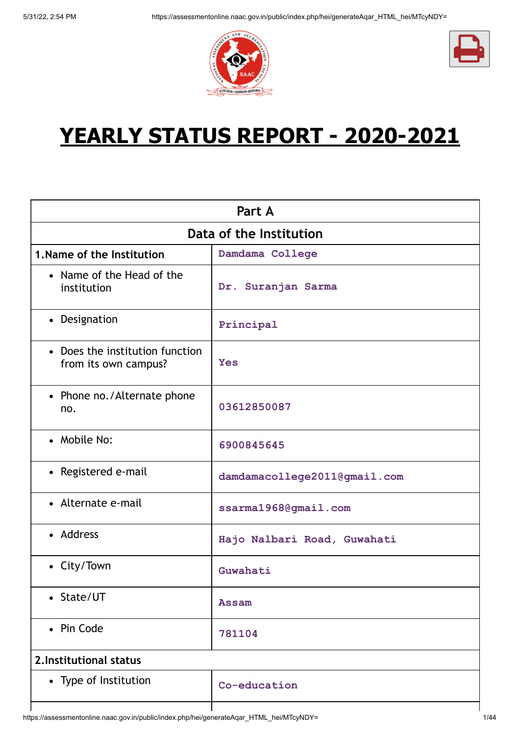



# **YEARLY STATUS REPORT - 2020-2021**

|                                                         | Part A                       |  |  |
|---------------------------------------------------------|------------------------------|--|--|
| Data of the Institution                                 |                              |  |  |
| 1. Name of the Institution                              | Damdama College              |  |  |
| • Name of the Head of the<br>institution                | Dr. Suranjan Sarma           |  |  |
| • Designation                                           | Principal                    |  |  |
| • Does the institution function<br>from its own campus? | <b>Yes</b>                   |  |  |
| • Phone no./Alternate phone<br>no.                      | 03612850087                  |  |  |
| • Mobile No:                                            | 6900845645                   |  |  |
| • Registered e-mail                                     | damdamacollege2011@gmail.com |  |  |
| • Alternate e-mail                                      | ssarma1968@gmail.com         |  |  |
| • Address                                               | Hajo Nalbari Road, Guwahati  |  |  |
| • City/Town                                             | Guwahati                     |  |  |
| • State/UT                                              | <b>Assam</b>                 |  |  |
| • Pin Code                                              | 781104                       |  |  |
| 2. Institutional status                                 |                              |  |  |
| • Type of Institution                                   | Co-education                 |  |  |
|                                                         |                              |  |  |

https://assessmentonline.naac.gov.in/public/index.php/hei/generateAqar\_HTML\_hei/MTcyNDY= 1/44

 $\mathbf l$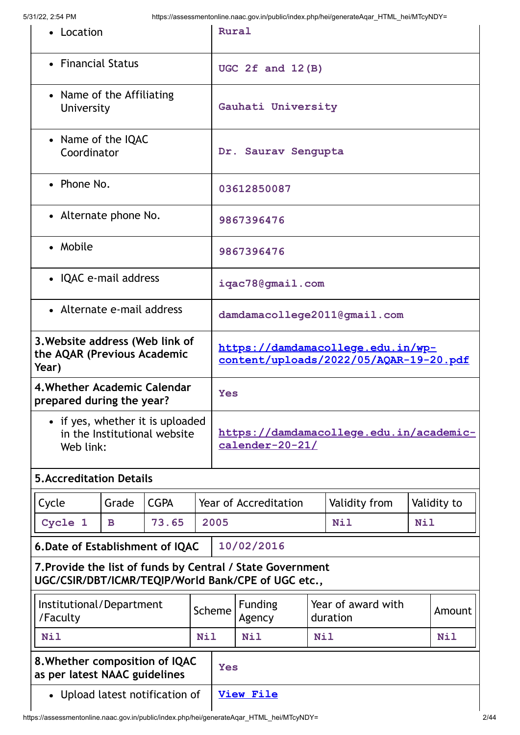| • Location                                                                    |                                                                                                                   |             |                                                                             | Rural                                                      |                          |            |                                |  |             |
|-------------------------------------------------------------------------------|-------------------------------------------------------------------------------------------------------------------|-------------|-----------------------------------------------------------------------------|------------------------------------------------------------|--------------------------|------------|--------------------------------|--|-------------|
| • Financial Status                                                            |                                                                                                                   |             |                                                                             | UGC $2f$ and $12(B)$                                       |                          |            |                                |  |             |
| • Name of the Affiliating<br>University                                       |                                                                                                                   |             |                                                                             |                                                            | Gauhati University       |            |                                |  |             |
| • Name of the IQAC<br>Coordinator                                             |                                                                                                                   |             |                                                                             |                                                            | Dr. Saurav Sengupta      |            |                                |  |             |
| • Phone No.                                                                   |                                                                                                                   |             |                                                                             |                                                            | 03612850087              |            |                                |  |             |
| • Alternate phone No.                                                         |                                                                                                                   |             |                                                                             |                                                            | 9867396476               |            |                                |  |             |
| • Mobile                                                                      |                                                                                                                   |             |                                                                             |                                                            | 9867396476               |            |                                |  |             |
| • IQAC e-mail address                                                         |                                                                                                                   |             |                                                                             |                                                            | iqac78@gmail.com         |            |                                |  |             |
| • Alternate e-mail address                                                    |                                                                                                                   |             |                                                                             |                                                            |                          |            | damdamacollege2011@gmail.com   |  |             |
| 3. Website address (Web link of<br>the AQAR (Previous Academic<br>Year)       |                                                                                                                   |             | https://damdamacollege.edu.in/wp-<br>content/uploads/2022/05/AQAR-19-20.pdf |                                                            |                          |            |                                |  |             |
| 4. Whether Academic Calendar<br>prepared during the year?                     |                                                                                                                   |             |                                                                             | <b>Yes</b>                                                 |                          |            |                                |  |             |
| • if yes, whether it is uploaded<br>in the Institutional website<br>Web link: |                                                                                                                   |             |                                                                             | https://damdamacollege.edu.in/academic-<br>calender-20-21/ |                          |            |                                |  |             |
| <b>5. Accreditation Details</b>                                               |                                                                                                                   |             |                                                                             |                                                            |                          |            |                                |  |             |
| Cycle                                                                         | Grade                                                                                                             | <b>CGPA</b> |                                                                             |                                                            | Year of Accreditation    |            | Validity from                  |  | Validity to |
| Cycle 1                                                                       | B                                                                                                                 | 73.65       |                                                                             | 2005<br><b>Nil</b><br><b>Nil</b>                           |                          |            |                                |  |             |
| 6. Date of Establishment of IQAC                                              |                                                                                                                   |             |                                                                             |                                                            | 10/02/2016               |            |                                |  |             |
|                                                                               | 7. Provide the list of funds by Central / State Government<br>UGC/CSIR/DBT/ICMR/TEQIP/World Bank/CPE of UGC etc., |             |                                                                             |                                                            |                          |            |                                |  |             |
| /Faculty                                                                      | Institutional/Department                                                                                          |             |                                                                             | Scheme                                                     | <b>Funding</b><br>Agency |            | Year of award with<br>duration |  | Amount      |
| <b>Nil</b>                                                                    |                                                                                                                   |             | <b>Nil</b>                                                                  |                                                            | <b>Nil</b>               | <b>Nil</b> |                                |  | <b>Nil</b>  |
| 8. Whether composition of IQAC<br>as per latest NAAC guidelines               |                                                                                                                   |             |                                                                             | <b>Yes</b>                                                 |                          |            |                                |  |             |
| • Upload latest notification of                                               |                                                                                                                   |             | <b>View File</b>                                                            |                                                            |                          |            |                                |  |             |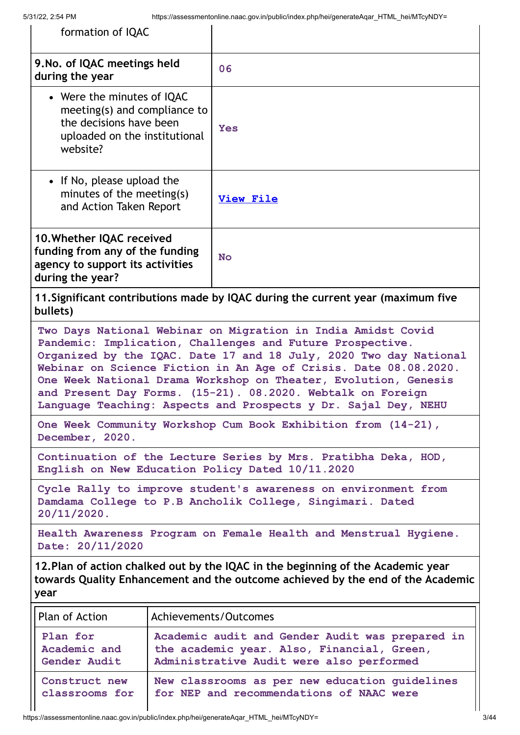| formation of IQAC                                                                                                                                                                                                                                                                                                                                                                                                                                                      |                                                               |                                                                                                                                           |  |  |  |
|------------------------------------------------------------------------------------------------------------------------------------------------------------------------------------------------------------------------------------------------------------------------------------------------------------------------------------------------------------------------------------------------------------------------------------------------------------------------|---------------------------------------------------------------|-------------------------------------------------------------------------------------------------------------------------------------------|--|--|--|
| 9. No. of IQAC meetings held<br>during the year                                                                                                                                                                                                                                                                                                                                                                                                                        |                                                               | 06                                                                                                                                        |  |  |  |
| • Were the minutes of IQAC<br>meeting(s) and compliance to<br>the decisions have been<br>uploaded on the institutional<br>website?                                                                                                                                                                                                                                                                                                                                     |                                                               | <b>Yes</b>                                                                                                                                |  |  |  |
| • If No, please upload the<br>minutes of the meeting(s)<br>and Action Taken Report                                                                                                                                                                                                                                                                                                                                                                                     |                                                               | <b>View File</b>                                                                                                                          |  |  |  |
| 10. Whether IQAC received<br>funding from any of the funding<br><b>No</b><br>agency to support its activities<br>during the year?                                                                                                                                                                                                                                                                                                                                      |                                                               |                                                                                                                                           |  |  |  |
| bullets)                                                                                                                                                                                                                                                                                                                                                                                                                                                               |                                                               | 11. Significant contributions made by IQAC during the current year (maximum five                                                          |  |  |  |
| Two Days National Webinar on Migration in India Amidst Covid<br>Pandemic: Implication, Challenges and Future Prospective.<br>Organized by the IQAC. Date 17 and 18 July, 2020 Two day National<br>Webinar on Science Fiction in An Age of Crisis. Date 08.08.2020.<br>One Week National Drama Workshop on Theater, Evolution, Genesis<br>and Present Day Forms. (15-21). 08.2020. Webtalk on Foreign<br>Language Teaching: Aspects and Prospects y Dr. Sajal Dey, NEHU |                                                               |                                                                                                                                           |  |  |  |
| December, 2020.                                                                                                                                                                                                                                                                                                                                                                                                                                                        | One Week Community Workshop Cum Book Exhibition from (14-21), |                                                                                                                                           |  |  |  |
|                                                                                                                                                                                                                                                                                                                                                                                                                                                                        |                                                               | Continuation of the Lecture Series by Mrs. Pratibha Deka, HOD,<br>English on New Education Policy Dated 10/11.2020                        |  |  |  |
| Cycle Rally to improve student's awareness on environment from<br>Damdama College to P.B Ancholik College, Singimari. Dated<br>$20/11/2020$ .                                                                                                                                                                                                                                                                                                                          |                                                               |                                                                                                                                           |  |  |  |
| Health Awareness Program on Female Health and Menstrual Hygiene.<br>Date: 20/11/2020                                                                                                                                                                                                                                                                                                                                                                                   |                                                               |                                                                                                                                           |  |  |  |
| 12. Plan of action chalked out by the IQAC in the beginning of the Academic year<br>towards Quality Enhancement and the outcome achieved by the end of the Academic<br>year                                                                                                                                                                                                                                                                                            |                                                               |                                                                                                                                           |  |  |  |
| Plan of Action                                                                                                                                                                                                                                                                                                                                                                                                                                                         |                                                               | Achievements/Outcomes                                                                                                                     |  |  |  |
| Plan for<br>Academic and<br>Gender Audit                                                                                                                                                                                                                                                                                                                                                                                                                               |                                                               | Academic audit and Gender Audit was prepared in<br>the academic year. Also, Financial, Green,<br>Administrative Audit were also performed |  |  |  |
| Construct new<br>classrooms for                                                                                                                                                                                                                                                                                                                                                                                                                                        |                                                               | New classrooms as per new education quidelines<br>for NEP and recommendations of NAAC were                                                |  |  |  |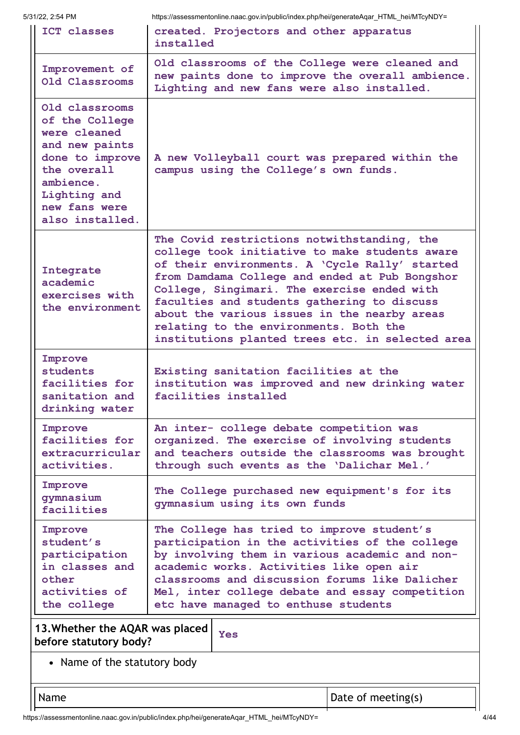| ICT classes                                                                                                                                                           | ntps://assessmentonime.naac.gov.in/public/inters.php/nei/generate/igal_innvit_nei/whoynD1=<br>created. Projectors and other apparatus<br>installed                                                                                                                                                                                                                                                                                            |                    |  |
|-----------------------------------------------------------------------------------------------------------------------------------------------------------------------|-----------------------------------------------------------------------------------------------------------------------------------------------------------------------------------------------------------------------------------------------------------------------------------------------------------------------------------------------------------------------------------------------------------------------------------------------|--------------------|--|
| Improvement of<br>Old Classrooms                                                                                                                                      | Old classrooms of the College were cleaned and<br>new paints done to improve the overall ambience.<br>Lighting and new fans were also installed.                                                                                                                                                                                                                                                                                              |                    |  |
| Old classrooms<br>of the College<br>were cleaned<br>and new paints<br>done to improve<br>the overall<br>ambience.<br>Lighting and<br>new fans were<br>also installed. | A new Volleyball court was prepared within the<br>campus using the College's own funds.                                                                                                                                                                                                                                                                                                                                                       |                    |  |
| Integrate<br>academic<br>exercises with<br>the environment                                                                                                            | The Covid restrictions notwithstanding, the<br>college took initiative to make students aware<br>of their environments. A 'Cycle Rally' started<br>from Damdama College and ended at Pub Bongshor<br>College, Singimari. The exercise ended with<br>faculties and students gathering to discuss<br>about the various issues in the nearby areas<br>relating to the environments. Both the<br>institutions planted trees etc. in selected area |                    |  |
| Improve<br>students<br>facilities for<br>sanitation and<br>drinking water                                                                                             | Existing sanitation facilities at the<br>institution was improved and new drinking water<br>facilities installed                                                                                                                                                                                                                                                                                                                              |                    |  |
| Improve<br>facilities for<br>extracurricular<br>activities.                                                                                                           | An inter- college debate competition was<br>organized. The exercise of involving students<br>and teachers outside the classrooms was brought<br>through such events as the 'Dalichar Mel.'                                                                                                                                                                                                                                                    |                    |  |
| Improve<br>qymnasium<br>facilities                                                                                                                                    | The College purchased new equipment's for its<br>gymnasium using its own funds                                                                                                                                                                                                                                                                                                                                                                |                    |  |
| Improve<br>student's<br>participation<br>in classes and<br>other<br>activities of<br>the college                                                                      | The College has tried to improve student's<br>participation in the activities of the college<br>by involving them in various academic and non-<br>academic works. Activities like open air<br>classrooms and discussion forums like Dalicher<br>Mel, inter college debate and essay competition<br>etc have managed to enthuse students                                                                                                       |                    |  |
| 13. Whether the AQAR was placed<br>before statutory body?                                                                                                             | <b>Yes</b>                                                                                                                                                                                                                                                                                                                                                                                                                                    |                    |  |
| • Name of the statutory body                                                                                                                                          |                                                                                                                                                                                                                                                                                                                                                                                                                                               |                    |  |
| Name                                                                                                                                                                  |                                                                                                                                                                                                                                                                                                                                                                                                                                               | Date of meeting(s) |  |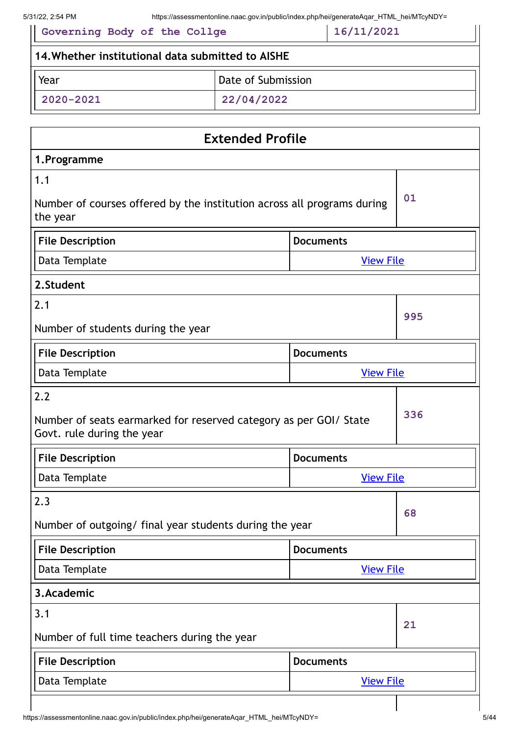| 5/31/22, 2:54 PM<br>https://assessmentonline.naac.gov.in/public/index.php/hei/generateAgar HTML hei/MTcyNDY= |                         |  |  |  |
|--------------------------------------------------------------------------------------------------------------|-------------------------|--|--|--|
| 16/11/2021<br>Governing Body of the Collge                                                                   |                         |  |  |  |
| 14. Whether institutional data submitted to AISHE                                                            |                         |  |  |  |
| Year                                                                                                         | Date of Submission      |  |  |  |
| 2020-2021                                                                                                    |                         |  |  |  |
|                                                                                                              |                         |  |  |  |
|                                                                                                              | <b>Extended Profile</b> |  |  |  |
| 1. Programme                                                                                                 |                         |  |  |  |
| 1.1                                                                                                          |                         |  |  |  |
| Number of courses offered by the institution across all programs during<br>the year                          | 01                      |  |  |  |

| <b>File Description</b> | l Documents      |
|-------------------------|------------------|
| Data Template           | <b>View File</b> |

| 2. Student                                                        |                  |     |
|-------------------------------------------------------------------|------------------|-----|
| 2.1                                                               |                  |     |
| Number of students during the year                                | 995              |     |
| <b>File Description</b>                                           | <b>Documents</b> |     |
| Data Template                                                     | <b>View File</b> |     |
| 2.2                                                               |                  |     |
| Number of seats earmarked for reserved category as per GOI/ State |                  | 336 |

Govt. rule during the year

| File Description | <b>Documents</b> |
|------------------|------------------|
| Data Template    | <b>View File</b> |
|                  |                  |

| 2.3                                                     |                  | 68 |
|---------------------------------------------------------|------------------|----|
| Number of outgoing/ final year students during the year |                  |    |
| <b>File Description</b>                                 | <b>Documents</b> |    |
| Data Template                                           | <b>View File</b> |    |
| 3. Academic                                             |                  |    |
| 3.1                                                     |                  | 21 |
| Number of full time teachers during the year            |                  |    |
| <b>File Description</b>                                 | <b>Documents</b> |    |
| Data Template                                           | <b>View File</b> |    |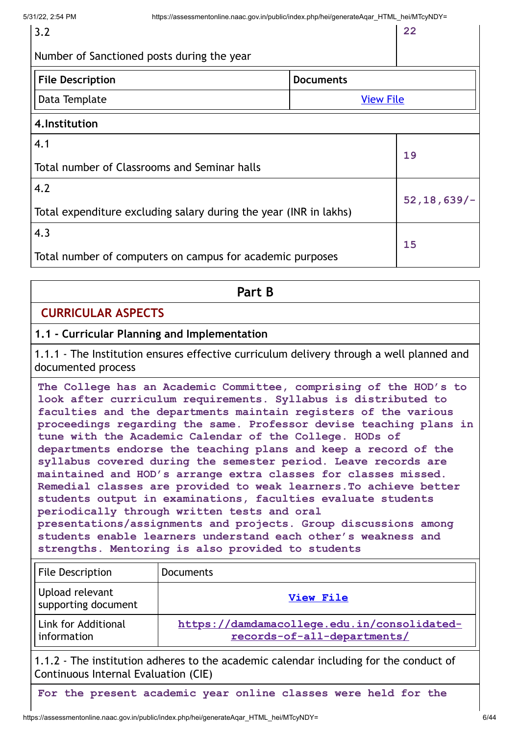3.2

**22**

|  | Number of Sanctioned posts during the year |  |
|--|--------------------------------------------|--|
|--|--------------------------------------------|--|

| <b>File Description</b> |  |
|-------------------------|--|
| .                       |  |

**File Description Documents** Data Template [View File](https://assessmentonline.naac.gov.in/storage/app/public/aqar/17246/17246_19_38.pdf?1653989052)

## **4.Institution**

| l 4.Institution                                                          |                  |
|--------------------------------------------------------------------------|------------------|
| $\overline{4.1}$<br>Total number of Classrooms and Seminar halls         | 19               |
| 4.2<br>Total expenditure excluding salary during the year (INR in lakhs) | $52, 18, 639/$ - |
| 4,3<br>Total number of computers on campus for academic purposes         | 15               |

# **Part B**

# **CURRICULAR ASPECTS**

## **1.1 - Curricular Planning and Implementation**

1.1.1 - The Institution ensures effective curriculum delivery through a well planned and documented process

**The College has an Academic Committee, comprising of the HOD's to look after curriculum requirements. Syllabus is distributed to faculties and the departments maintain registers of the various proceedings regarding the same. Professor devise teaching plans in tune with the Academic Calendar of the College. HODs of departments endorse the teaching plans and keep a record of the syllabus covered during the semester period. Leave records are maintained and HOD's arrange extra classes for classes missed. Remedial classes are provided to weak learners.To achieve better students output in examinations, faculties evaluate students periodically through written tests and oral presentations/assignments and projects. Group discussions among students enable learners understand each other's weakness and strengths. Mentoring is also provided to students**

| <b>File Description</b>                                                                                                             | <b>Documents</b> |  |
|-------------------------------------------------------------------------------------------------------------------------------------|------------------|--|
| Upload relevant<br>supporting document                                                                                              | <b>View File</b> |  |
| <b>Link for Additional</b><br>https://damdamacollege.edu.in/consolidated-<br>records-of-all-departments/<br>information             |                  |  |
| 1.1.2 - The institution adheres to the academic calendar including for the conduct of<br>$Confinuoug International Evolution (CIE)$ |                  |  |

Continuous Internal Evaluation (CIE)

**For the present academic year online classes were held for the**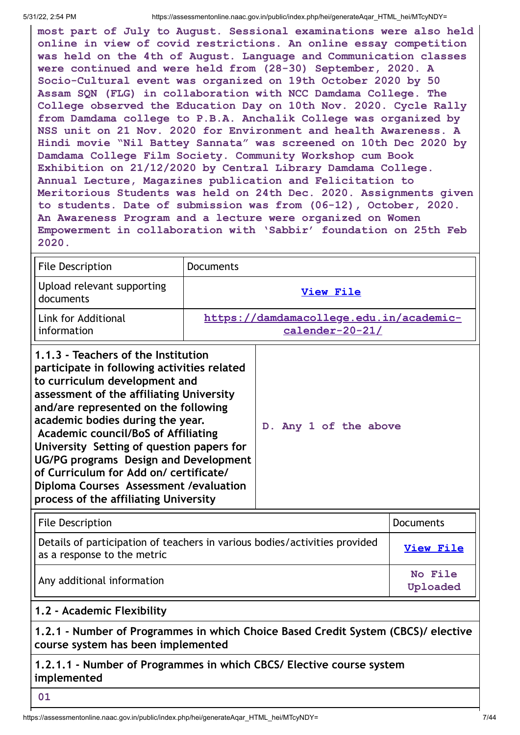**most part of July to August. Sessional examinations were also held online in view of covid restrictions. An online essay competition was held on the 4th of August. Language and Communication classes were continued and were held from (28-30) September, 2020. A Socio-Cultural event was organized on 19th October 2020 by 50 Assam SQN (FLG) in collaboration with NCC Damdama College. The College observed the Education Day on 10th Nov. 2020. Cycle Rally from Damdama college to P.B.A. Anchalik College was organized by NSS unit on 21 Nov. 2020 for Environment and health Awareness. A Hindi movie "Nil Battey Sannata" was screened on 10th Dec 2020 by Damdama College Film Society. Community Workshop cum Book Exhibition on 21/12/2020 by Central Library Damdama College. Annual Lecture, Magazines publication and Felicitation to Meritorious Students was held on 24th Dec. 2020. Assignments given to students. Date of submission was from (06-12), October, 2020. An Awareness Program and a lecture were organized on Women Empowerment in collaboration with 'Sabbir' foundation on 25th Feb 2020.**

| <b>File Description</b>                                                                                                                                                                                                                                                                                                                                                                                                                                                                                       | <b>Documents</b>                                           |                       |                  |
|---------------------------------------------------------------------------------------------------------------------------------------------------------------------------------------------------------------------------------------------------------------------------------------------------------------------------------------------------------------------------------------------------------------------------------------------------------------------------------------------------------------|------------------------------------------------------------|-----------------------|------------------|
| Upload relevant supporting<br>documents                                                                                                                                                                                                                                                                                                                                                                                                                                                                       | <b>View File</b>                                           |                       |                  |
| Link for Additional<br>information                                                                                                                                                                                                                                                                                                                                                                                                                                                                            | https://damdamacollege.edu.in/academic-<br>calender-20-21/ |                       |                  |
| 1.1.3 - Teachers of the Institution<br>participate in following activities related<br>to curriculum development and<br>assessment of the affiliating University<br>and/are represented on the following<br>academic bodies during the year.<br><b>Academic council/BoS of Affiliating</b><br>University Setting of question papers for<br>UG/PG programs Design and Development<br>of Curriculum for Add on/ certificate/<br>Diploma Courses Assessment / evaluation<br>process of the affiliating University |                                                            | D. Any 1 of the above |                  |
| <b>File Description</b>                                                                                                                                                                                                                                                                                                                                                                                                                                                                                       |                                                            |                       | <b>Documents</b> |
| Details of participation of teachers in various bodies/activities provided<br>as a response to the metric                                                                                                                                                                                                                                                                                                                                                                                                     |                                                            | <b>View File</b>      |                  |
| Any additional information                                                                                                                                                                                                                                                                                                                                                                                                                                                                                    |                                                            | No File<br>Uploaded   |                  |
| 1.2 - Academic Flexibility                                                                                                                                                                                                                                                                                                                                                                                                                                                                                    |                                                            |                       |                  |
| 1.2.1 - Number of Programmes in which Choice Based Credit System (CBCS)/ elective<br>course system has been implemented                                                                                                                                                                                                                                                                                                                                                                                       |                                                            |                       |                  |
| 1.2.1.1 - Number of Programmes in which CBCS/ Elective course system                                                                                                                                                                                                                                                                                                                                                                                                                                          |                                                            |                       |                  |

**implemented**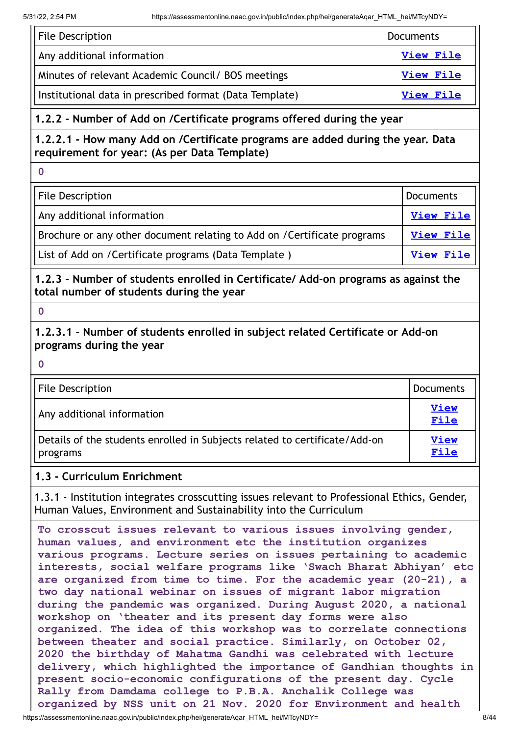| File Description                                        | Documents        |
|---------------------------------------------------------|------------------|
| Any additional information                              | View File        |
| Minutes of relevant Academic Council / BOS meetings     | <b>View File</b> |
| Institutional data in prescribed format (Data Template) | View File        |

# **1.2.2 - Number of Add on /Certificate programs offered during the year**

**1.2.2.1 - How many Add on /Certificate programs are added during the year. Data requirement for year: (As per Data Template)**

**0**

File Description **Districts Contract Contract Contract Contract Contract Contract Contract Contract Contract Contract Contract Contract Contract Contract Contract Contract Contract Contract Contract Contract Contract Con** 

Any additional information **[View](https://assessmentonline.naac.gov.in/storage/app/public/aqar/17246/17246_7_10.pdf?1653989052) File**

Brochure or any other document relating to Add on /Certificate programs | [View](https://assessmentonline.naac.gov.in/storage/app/public/aqar/17246/17246_7_11.docx?1653989052) File

List of Add on /Certificate programs (Data Template ) **[View](https://assessmentonline.naac.gov.in/storage/app/public/aqar/17246/17246_7_12.xlsx?1653989052) File** 

**1.2.3 - Number of students enrolled in Certificate/ Add-on programs as against the total number of students during the year**

**0**

**0**

**1.2.3.1 - Number of students enrolled in subject related Certificate or Add-on programs during the year**

File Description **Documents** Any additional information **[View](https://assessmentonline.naac.gov.in/storage/app/public/aqar/17246/17246_8_13.docx?1653989052) File** Details of the students enrolled in Subjects related to certificate/Add-on programs **[View](https://assessmentonline.naac.gov.in/storage/app/public/aqar/17246/17246_8_14.xlsx?1653989052) File**

# **1.3 - Curriculum Enrichment**

1.3.1 - Institution integrates crosscutting issues relevant to Professional Ethics, Gender, Human Values, Environment and Sustainability into the Curriculum

https://assessmentonline.naac.gov.in/public/index.php/hei/generateAqar\_HTML\_hei/MTcyNDY= 8/44 **To crosscut issues relevant to various issues involving gender, human values, and environment etc the institution organizes various programs. Lecture series on issues pertaining to academic interests, social welfare programs like 'Swach Bharat Abhiyan' etc are organized from time to time. For the academic year (20-21), a two day national webinar on issues of migrant labor migration during the pandemic was organized. During August 2020, a national workshop on 'theater and its present day forms were also organized. The idea of this workshop was to correlate connections between theater and social practice. Similarly, on October 02, 2020 the birthday of Mahatma Gandhi was celebrated with lecture delivery, which highlighted the importance of Gandhian thoughts in present socio-economic configurations of the present day. Cycle Rally from Damdama college to P.B.A. Anchalik College was organized by NSS unit on 21 Nov. 2020 for Environment and health**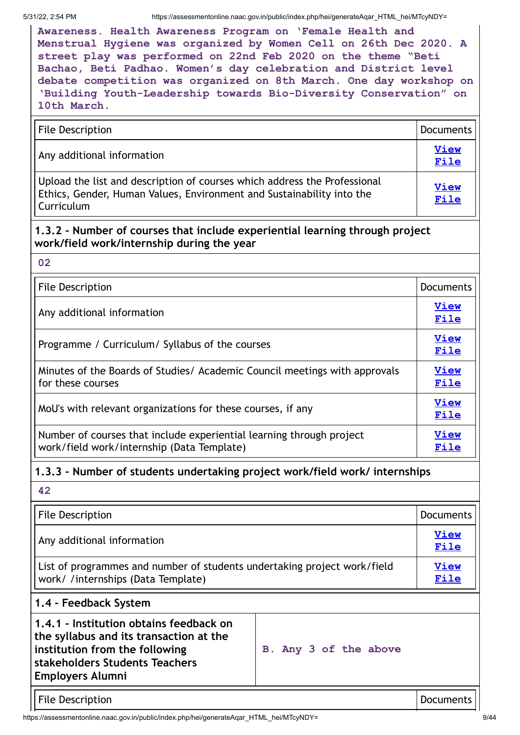**Awareness. Health Awareness Program on 'Female Health and Menstrual Hygiene was organized by Women Cell on 26th Dec 2020. A street play was performed on 22nd Feb 2020 on the theme "Beti Bachao, Beti Padhao. Women's day celebration and District level debate competition was organized on 8th March. One day workshop on 'Building Youth-Leadership towards Bio-Diversity Conservation" on 10th March.**

| <b>File Description</b><br>Documents                                                                                                                             |  |
|------------------------------------------------------------------------------------------------------------------------------------------------------------------|--|
| Any additional information                                                                                                                                       |  |
| Upload the list and description of courses which address the Professional<br>Ethics, Gender, Human Values, Environment and Sustainability into the<br>Curriculum |  |

# **1.3.2 - Number of courses that include experiential learning through project work/field work/internship during the year**

**02**

| <b>File Description</b><br><b>Documents</b>                                                                        |  |
|--------------------------------------------------------------------------------------------------------------------|--|
| Any additional information                                                                                         |  |
| Programme / Curriculum/ Syllabus of the courses                                                                    |  |
| Minutes of the Boards of Studies/ Academic Council meetings with approvals<br>for these courses                    |  |
| MoU's with relevant organizations for these courses, if any                                                        |  |
| Number of courses that include experiential learning through project<br>work/field work/internship (Data Template) |  |

# **1.3.3 - Number of students undertaking project work/field work/ internships**

**42**

| <b>File Description</b>                                                                                                                                                           |                       | <b>Documents</b> |
|-----------------------------------------------------------------------------------------------------------------------------------------------------------------------------------|-----------------------|------------------|
| Any additional information                                                                                                                                                        |                       | View<br>File     |
| List of programmes and number of students undertaking project work/field<br>work/ /internships (Data Template)                                                                    |                       | View<br>File     |
| 1.4 - Feedback System                                                                                                                                                             |                       |                  |
| 1.4.1 - Institution obtains feedback on<br>the syllabus and its transaction at the<br>institution from the following<br>stakeholders Students Teachers<br><b>Employers Alumni</b> | B. Any 3 of the above |                  |

File Description **Documents** 

https://assessmentonline.naac.gov.in/public/index.php/hei/generateAqar\_HTML\_hei/MTcyNDY= 9/44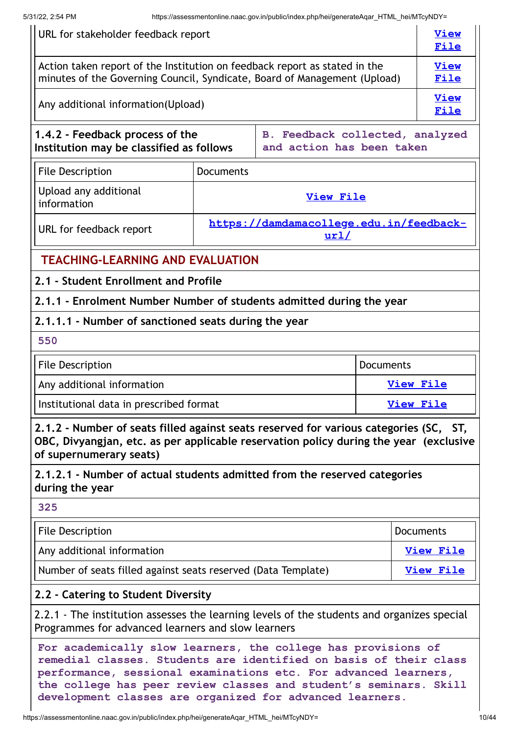| URL for stakeholder feedback report                                                                                                                                                                                                                                                                                                    |                  |                                                              | <b>View</b><br>File |                     |                     |
|----------------------------------------------------------------------------------------------------------------------------------------------------------------------------------------------------------------------------------------------------------------------------------------------------------------------------------------|------------------|--------------------------------------------------------------|---------------------|---------------------|---------------------|
| Action taken report of the Institution on feedback report as stated in the<br>minutes of the Governing Council, Syndicate, Board of Management (Upload)                                                                                                                                                                                |                  |                                                              |                     | <b>View</b><br>File |                     |
| Any additional information (Upload)                                                                                                                                                                                                                                                                                                    |                  |                                                              |                     |                     | <b>View</b><br>File |
| 1.4.2 - Feedback process of the<br>Institution may be classified as follows                                                                                                                                                                                                                                                            |                  | B. Feedback collected, analyzed<br>and action has been taken |                     |                     |                     |
| <b>File Description</b>                                                                                                                                                                                                                                                                                                                | <b>Documents</b> |                                                              |                     |                     |                     |
| Upload any additional<br>information                                                                                                                                                                                                                                                                                                   |                  | <b>View File</b>                                             |                     |                     |                     |
| URL for feedback report                                                                                                                                                                                                                                                                                                                |                  | https://damdamacollege.edu.in/feedback-<br>ur1/              |                     |                     |                     |
| <b>TEACHING-LEARNING AND EVALUATION</b>                                                                                                                                                                                                                                                                                                |                  |                                                              |                     |                     |                     |
| 2.1 - Student Enrollment and Profile                                                                                                                                                                                                                                                                                                   |                  |                                                              |                     |                     |                     |
| 2.1.1 - Enrolment Number Number of students admitted during the year                                                                                                                                                                                                                                                                   |                  |                                                              |                     |                     |                     |
| 2.1.1.1 - Number of sanctioned seats during the year                                                                                                                                                                                                                                                                                   |                  |                                                              |                     |                     |                     |
| 550                                                                                                                                                                                                                                                                                                                                    |                  |                                                              |                     |                     |                     |
| <b>File Description</b><br><b>Documents</b>                                                                                                                                                                                                                                                                                            |                  |                                                              |                     |                     |                     |
| Any additional information                                                                                                                                                                                                                                                                                                             |                  |                                                              | <b>View File</b>    |                     |                     |
| Institutional data in prescribed format                                                                                                                                                                                                                                                                                                |                  |                                                              | <b>View File</b>    |                     |                     |
| 2.1.2 - Number of seats filled against seats reserved for various categories (SC, ST,<br>OBC, Divyangjan, etc. as per applicable reservation policy during the year (exclusive<br>of supernumerary seats)                                                                                                                              |                  |                                                              |                     |                     |                     |
| 2.1.2.1 - Number of actual students admitted from the reserved categories<br>during the year                                                                                                                                                                                                                                           |                  |                                                              |                     |                     |                     |
| 325                                                                                                                                                                                                                                                                                                                                    |                  |                                                              |                     |                     |                     |
| <b>File Description</b>                                                                                                                                                                                                                                                                                                                |                  |                                                              | <b>Documents</b>    |                     |                     |
| Any additional information                                                                                                                                                                                                                                                                                                             |                  |                                                              | <b>View File</b>    |                     |                     |
| Number of seats filled against seats reserved (Data Template)                                                                                                                                                                                                                                                                          |                  |                                                              | <b>View File</b>    |                     |                     |
| 2.2 - Catering to Student Diversity                                                                                                                                                                                                                                                                                                    |                  |                                                              |                     |                     |                     |
| 2.2.1 - The institution assesses the learning levels of the students and organizes special<br>Programmes for advanced learners and slow learners                                                                                                                                                                                       |                  |                                                              |                     |                     |                     |
| For academically slow learners, the college has provisions of<br>remedial classes. Students are identified on basis of their class<br>performance, sessional examinations etc. For advanced learners,<br>the college has peer review classes and student's seminars. Skill<br>development classes are organized for advanced learners. |                  |                                                              |                     |                     |                     |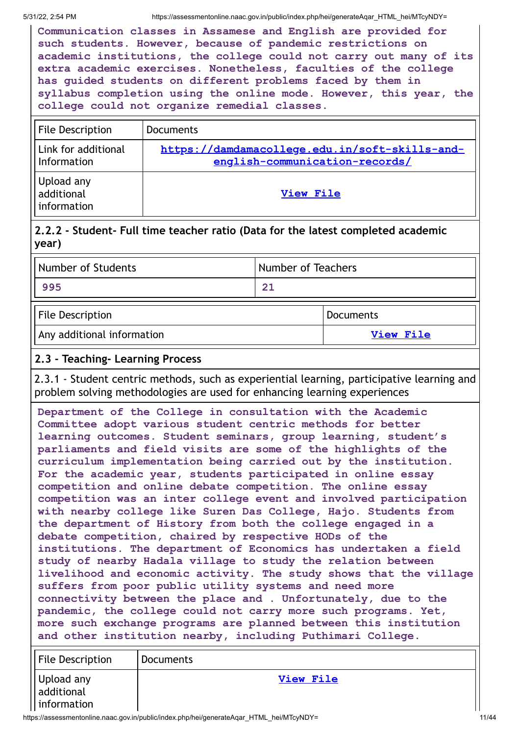**Communication classes in Assamese and English are provided for such students. However, because of pandemic restrictions on academic institutions, the college could not carry out many of its extra academic exercises. Nonetheless, faculties of the college has guided students on different problems faced by them in syllabus completion using the online mode. However, this year, the college could not organize remedial classes.**

| <b>File Description</b>                 | Documents                                                                        |
|-----------------------------------------|----------------------------------------------------------------------------------|
| Link for additional<br>Information      | https://damdamacollege.edu.in/soft-skills-and-<br>english-communication-records/ |
| Upload any<br>additional<br>information | <b>View File</b>                                                                 |

# **2.2.2 - Student- Full time teacher ratio (Data for the latest completed academic year)**

| Number of Students      | Number of Teachers |  |
|-------------------------|--------------------|--|
| 995                     | 21                 |  |
| <b>File Description</b> | Documents          |  |

Any additional information **[View](https://assessmentonline.naac.gov.in/storage/app/public/aqar/17246/17246_16_33.docx?1653989052) File**

| Any additional information |  |
|----------------------------|--|
|----------------------------|--|

# **2.3 - Teaching- Learning Process**

2.3.1 - Student centric methods, such as experiential learning, participative learning and problem solving methodologies are used for enhancing learning experiences

**Department of the College in consultation with the Academic Committee adopt various student centric methods for better learning outcomes. Student seminars, group learning, student's parliaments and field visits are some of the highlights of the curriculum implementation being carried out by the institution. For the academic year, students participated in online essay competition and online debate competition. The online essay competition was an inter college event and involved participation with nearby college like Suren Das College, Hajo. Students from the department of History from both the college engaged in a debate competition, chaired by respective HODs of the institutions. The department of Economics has undertaken a field study of nearby Hadala village to study the relation between livelihood and economic activity. The study shows that the village suffers from poor public utility systems and need more connectivity between the place and . Unfortunately, due to the pandemic, the college could not carry more such programs. Yet, more such exchange programs are planned between this institution and other institution nearby, including Puthimari College.**

| File Description                        | Documents |
|-----------------------------------------|-----------|
| Upload any<br>additional<br>information | View File |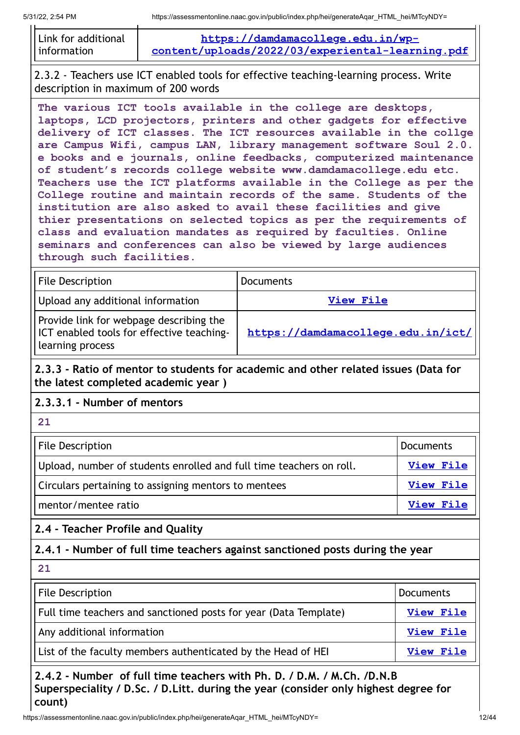| Link for additional | https://damdamacollege.edu.in/wp-                |
|---------------------|--------------------------------------------------|
| l information       | content/uploads/2022/03/experiental-learning.pdf |

2.3.2 - Teachers use ICT enabled tools for effective teaching-learning process. Write description in maximum of 200 words

**The various ICT tools available in the college are desktops, laptops, LCD projectors, printers and other gadgets for effective delivery of ICT classes. The ICT resources available in the collge are Campus Wifi, campus LAN, library management software Soul 2.0. e books and e journals, online feedbacks, computerized maintenance of student's records college website www.damdamacollege.edu etc. Teachers use the ICT platforms available in the College as per the College routine and maintain records of the same. Students of the institution are also asked to avail these facilities and give thier presentations on selected topics as per the requirements of class and evaluation mandates as required by faculties. Online seminars and conferences can also be viewed by large audiences through such facilities.**

| <b>File Description</b>                                                                                  | <b>Documents</b>                   |
|----------------------------------------------------------------------------------------------------------|------------------------------------|
| Upload any additional information                                                                        | View File                          |
| Provide link for webpage describing the<br>ICT enabled tools for effective teaching-<br>learning process | https://damdamacollege.edu.in/ict/ |

**2.3.3 - Ratio of mentor to students for academic and other related issues (Data for the latest completed academic year )**

# **2.3.3.1 - Number of mentors**

| <b>File Description</b>                                             | Documents |
|---------------------------------------------------------------------|-----------|
| Upload, number of students enrolled and full time teachers on roll. | View File |
| Circulars pertaining to assigning mentors to mentees                | View File |
| mentor/mentee ratio                                                 | View File |

**2.4 - Teacher Profile and Quality**

**2.4.1 - Number of full time teachers against sanctioned posts during the year**

**21**

**21**

| File Description                                                 | Documents        |
|------------------------------------------------------------------|------------------|
| Full time teachers and sanctioned posts for year (Data Template) | <b>View File</b> |
| Any additional information                                       | <b>View File</b> |
| List of the faculty members authenticated by the Head of HEI     | View File        |

**2.4.2 - Number of full time teachers with Ph. D. / D.M. / M.Ch. /D.N.B Superspeciality / D.Sc. / D.Litt. during the year (consider only highest degree for count)**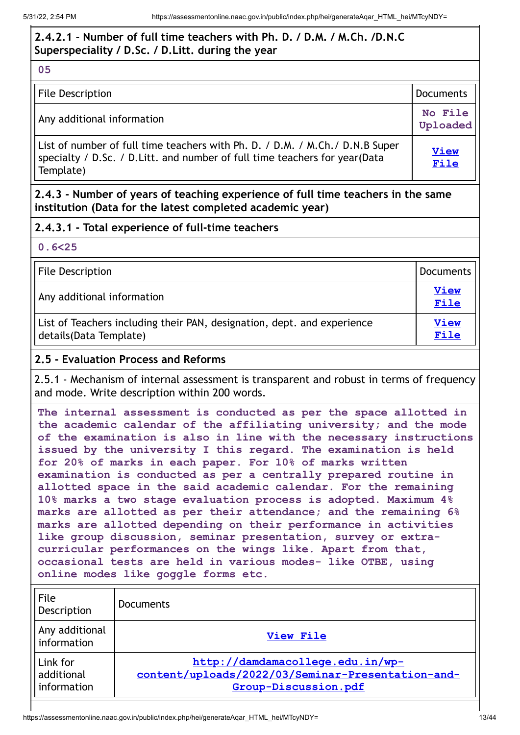# **2.4.2.1 - Number of full time teachers with Ph. D. / D.M. / M.Ch. /D.N.C Superspeciality / D.Sc. / D.Litt. during the year**

**05**

| File Description                                                                                                                                                         | Documents           |
|--------------------------------------------------------------------------------------------------------------------------------------------------------------------------|---------------------|
| Any additional information                                                                                                                                               | No File<br>Uploaded |
| List of number of full time teachers with Ph. D. / D.M. / M.Ch./ D.N.B Super<br>specialty / D.Sc. / D.Litt. and number of full time teachers for year (Data<br>Template) | <b>View</b><br>File |

**2.4.3 - Number of years of teaching experience of full time teachers in the same institution (Data for the latest completed academic year)**

# **2.4.3.1 - Total experience of full-time teachers**

**0.6<25**

File Description **Documents** 

Any additional information **[View](https://assessmentonline.naac.gov.in/storage/app/public/aqar/17246/17246_22_46.xlsx?1653989052)**

List of Teachers including their PAN, designation, dept. and experience details(Data Template)

# **2.5 - Evaluation Process and Reforms**

2.5.1 - Mechanism of internal assessment is transparent and robust in terms of frequency and mode. Write description within 200 words.

**The internal assessment is conducted as per the space allotted in the academic calendar of the affiliating university; and the mode of the examination is also in line with the necessary instructions issued by the university I this regard. The examination is held for 20% of marks in each paper. For 10% of marks written examination is conducted as per a centrally prepared routine in allotted space in the said academic calendar. For the remaining 10% marks a two stage evaluation process is adopted. Maximum 4% marks are allotted as per their attendance; and the remaining 6% marks are allotted depending on their performance in activities like group discussion, seminar presentation, survey or extracurricular performances on the wings like. Apart from that, occasional tests are held in various modes- like OTBE, using online modes like goggle forms etc.**

| File<br>Description                   | <b>Documents</b>                                                                                              |
|---------------------------------------|---------------------------------------------------------------------------------------------------------------|
| Any additional<br>information         | <b>View File</b>                                                                                              |
| Link for<br>additional<br>information | http://damdamacollege.edu.in/wp-<br>content/uploads/2022/03/Seminar-Presentation-and-<br>Group-Discussion.pdf |

**File**

**[View](https://assessmentonline.naac.gov.in/storage/app/public/aqar/17246/17246_22_47.xlsx?1653989052) File**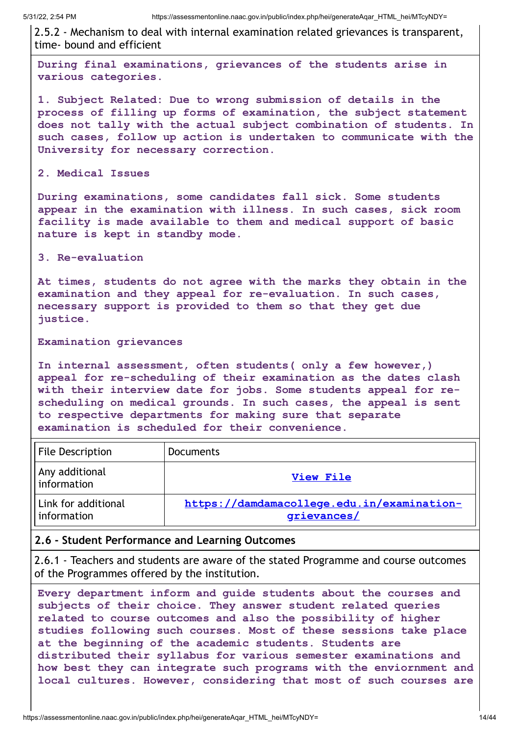2.5.2 - Mechanism to deal with internal examination related grievances is transparent, time- bound and efficient

**During final examinations, grievances of the students arise in various categories.**

**1. Subject Related: Due to wrong submission of details in the process of filling up forms of examination, the subject statement does not tally with the actual subject combination of students. In such cases, follow up action is undertaken to communicate with the University for necessary correction.**

#### **2. Medical Issues**

**During examinations, some candidates fall sick. Some students appear in the examination with illness. In such cases, sick room facility is made available to them and medical support of basic nature is kept in standby mode.**

#### **3. Re-evaluation**

**At times, students do not agree with the marks they obtain in the examination and they appeal for re-evaluation. In such cases, necessary support is provided to them so that they get due justice.**

#### **Examination grievances**

**In internal assessment, often students( only a few however,) appeal for re-scheduling of their examination as the dates clash with their interview date for jobs. Some students appeal for rescheduling on medical grounds. In such cases, the appeal is sent to respective departments for making sure that separate examination is scheduled for their convenience.**

| <b>File Description</b>            | <b>Documents</b>                                          |
|------------------------------------|-----------------------------------------------------------|
| Any additional<br>I information    | <b>View File</b>                                          |
| Link for additional<br>information | https://damdamacollege.edu.in/examination-<br>grievances/ |

#### **2.6 - Student Performance and Learning Outcomes**

2.6.1 - Teachers and students are aware of the stated Programme and course outcomes of the Programmes offered by the institution.

**Every department inform and guide students about the courses and subjects of their choice. They answer student related queries related to course outcomes and also the possibility of higher studies following such courses. Most of these sessions take place at the beginning of the academic students. Students are distributed their syllabus for various semester examinations and how best they can integrate such programs with the enviornment and local cultures. However, considering that most of such courses are**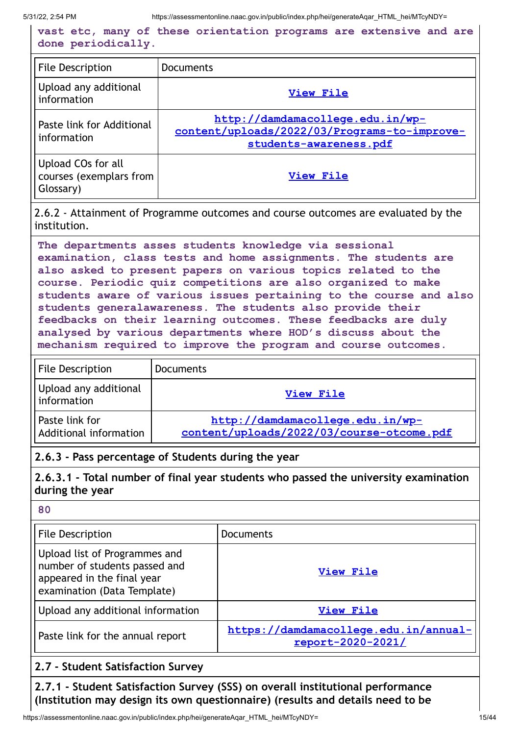|                    |  |  | vast etc, many of these orientation programs are extensive and are |  |  |  |
|--------------------|--|--|--------------------------------------------------------------------|--|--|--|
| done periodically. |  |  |                                                                    |  |  |  |

| <b>File Description</b>                                    | <b>Documents</b>                                                                                           |
|------------------------------------------------------------|------------------------------------------------------------------------------------------------------------|
| Upload any additional<br>information                       | <b>View File</b>                                                                                           |
| Paste link for Additional<br>information                   | http://damdamacollege.edu.in/wp-<br>content/uploads/2022/03/Programs-to-improve-<br>students-awareness.pdf |
| Upload COs for all<br>courses (exemplars from<br>Glossary) | <b>View File</b>                                                                                           |

2.6.2 - Attainment of Programme outcomes and course outcomes are evaluated by the institution.

**The departments asses students knowledge via sessional examination, class tests and home assignments. The students are also asked to present papers on various topics related to the course. Periodic quiz competitions are also organized to make students aware of various issues pertaining to the course and also students generalawareness. The students also provide their feedbacks on their learning outcomes. These feedbacks are duly analysed by various departments where HOD's discuss about the mechanism required to improve the program and course outcomes.**

| <b>File Description</b>                           | <b>Documents</b>                                                              |
|---------------------------------------------------|-------------------------------------------------------------------------------|
| Upload any additional<br><sup>l</sup> information | View File                                                                     |
| l Paste link for<br>Additional information        | http://damdamacollege.edu.in/wp-<br>content/uploads/2022/03/course-otcome.pdf |

#### **2.6.3 - Pass percentage of Students during the year**

**2.6.3.1 - Total number of final year students who passed the university examination during the year**

**80**

| <b>File Description</b>                                                                                                     | <b>Documents</b>                                           |
|-----------------------------------------------------------------------------------------------------------------------------|------------------------------------------------------------|
| Upload list of Programmes and<br>number of students passed and<br>appeared in the final year<br>examination (Data Template) | <b>View File</b>                                           |
| Upload any additional information                                                                                           | <b>View File</b>                                           |
| Paste link for the annual report                                                                                            | https://damdamacollege.edu.in/annual-<br>report-2020-2021/ |

## **2.7 - Student Satisfaction Survey**

**2.7.1 - Student Satisfaction Survey (SSS) on overall institutional performance (Institution may design its own questionnaire) (results and details need to be**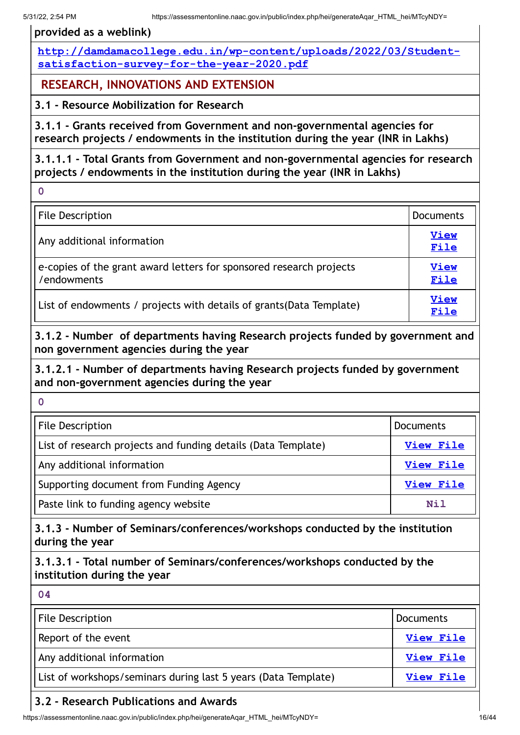**provided as a weblink)**

**[http://damdamacollege.edu.in/wp-content/uploads/2022/03/Student](http://damdamacollege.edu.in/wp-content/uploads/2022/03/Student-satisfaction-survey-for-the-year-2020.pdf)satisfaction-survey-for-the-year-2020.pdf**

**RESEARCH, INNOVATIONS AND EXTENSION**

**3.1 - Resource Mobilization for Research**

**3.1.1 - Grants received from Government and non-governmental agencies for research projects / endowments in the institution during the year (INR in Lakhs)**

**3.1.1.1 - Total Grants from Government and non-governmental agencies for research projects / endowments in the institution during the year (INR in Lakhs)**

**0**

| <b>File Description</b>                                                            | <b>Documents</b>    |
|------------------------------------------------------------------------------------|---------------------|
| Any additional information                                                         | <b>View</b><br>File |
| e-copies of the grant award letters for sponsored research projects<br>/endowments |                     |
| List of endowments / projects with details of grants (Data Template)               | <b>View</b><br>File |

**3.1.2 - Number of departments having Research projects funded by government and non government agencies during the year**

**3.1.2.1 - Number of departments having Research projects funded by government and non-government agencies during the year**

**0**

| File Description                                              | <b>Documents</b> |
|---------------------------------------------------------------|------------------|
| List of research projects and funding details (Data Template) | View File        |
| Any additional information                                    | <b>View File</b> |
| Supporting document from Funding Agency                       | View File        |
| Paste link to funding agency website                          | Nil              |

**3.1.3 - Number of Seminars/conferences/workshops conducted by the institution during the year**

**3.1.3.1 - Total number of Seminars/conferences/workshops conducted by the institution during the year**

| 04                                                             |                  |
|----------------------------------------------------------------|------------------|
| File Description                                               | <b>Documents</b> |
| Report of the event                                            | <b>View File</b> |
| Any additional information                                     | View File        |
| List of workshops/seminars during last 5 years (Data Template) | View File        |

# **3.2 - Research Publications and Awards**

https://assessmentonline.naac.gov.in/public/index.php/hei/generateAqar\_HTML\_hei/MTcyNDY= 16/44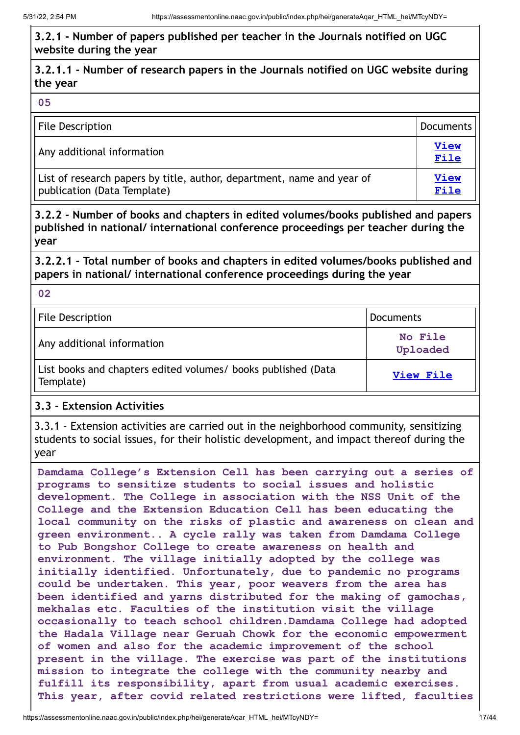# **3.2.1 - Number of papers published per teacher in the Journals notified on UGC website during the year**

# **3.2.1.1 - Number of research papers in the Journals notified on UGC website during the year**

#### **05**

| File Description                                                                                      | Documents           |
|-------------------------------------------------------------------------------------------------------|---------------------|
| Any additional information                                                                            | <b>View</b><br>File |
| List of research papers by title, author, department, name and year of<br>publication (Data Template) | <b>View</b><br>File |

# **3.2.2 - Number of books and chapters in edited volumes/books published and papers published in national/ international conference proceedings per teacher during the year**

**3.2.2.1 - Total number of books and chapters in edited volumes/books published and papers in national/ international conference proceedings during the year**

**02**

| <b>File Description</b>                                                    | Documents           |
|----------------------------------------------------------------------------|---------------------|
| Any additional information                                                 | No File<br>Uploaded |
| List books and chapters edited volumes/ books published (Data<br>Template) | View File           |

# **3.3 - Extension Activities**

3.3.1 - Extension activities are carried out in the neighborhood community, sensitizing students to social issues, for their holistic development, and impact thereof during the year

**Damdama College's Extension Cell has been carrying out a series of programs to sensitize students to social issues and holistic development. The College in association with the NSS Unit of the College and the Extension Education Cell has been educating the local community on the risks of plastic and awareness on clean and green environment.. A cycle rally was taken from Damdama College to Pub Bongshor College to create awareness on health and environment. The village initially adopted by the college was initially identified. Unfortunately, due to pandemic no programs could be undertaken. This year, poor weavers from the area has been identified and yarns distributed for the making of gamochas, mekhalas etc. Faculties of the institution visit the village occasionally to teach school children.Damdama College had adopted the Hadala Village near Geruah Chowk for the economic empowerment of women and also for the academic improvement of the school present in the village. The exercise was part of the institutions mission to integrate the college with the community nearby and fulfill its responsibility, apart from usual academic exercises. This year, after covid related restrictions were lifted, faculties**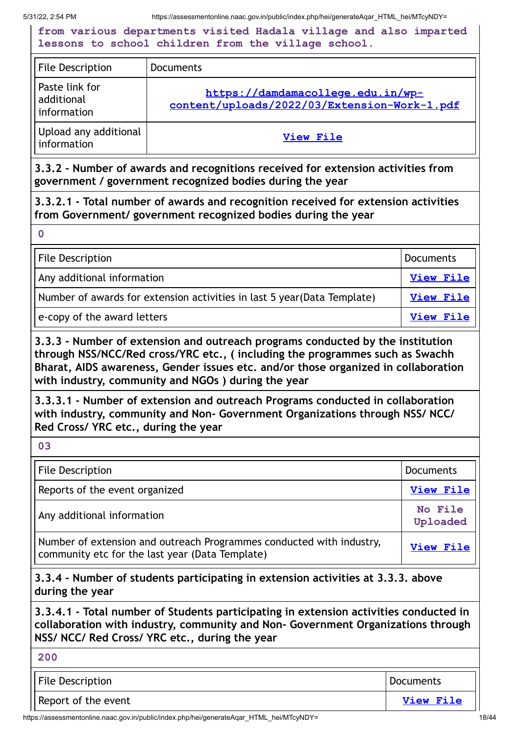**from various departments visited Hadala village and also imparted lessons to school children from the village school.**

| <b>File Description</b>                     | <b>Documents</b>                                                                  |
|---------------------------------------------|-----------------------------------------------------------------------------------|
| Paste link for<br>additional<br>information | https://damdamacollege.edu.in/wp-<br>content/uploads/2022/03/Extension-Work-1.pdf |
| Upload any additional<br>information        | View File                                                                         |

**3.3.2 - Number of awards and recognitions received for extension activities from government / government recognized bodies during the year**

**3.3.2.1 - Total number of awards and recognition received for extension activities from Government/ government recognized bodies during the year**

**0**

| File Description                                                         | Documents        |
|--------------------------------------------------------------------------|------------------|
| Any additional information                                               | <b>View File</b> |
| Number of awards for extension activities in last 5 year (Data Template) | View File        |
| e-copy of the award letters                                              | View File        |

**3.3.3 - Number of extension and outreach programs conducted by the institution through NSS/NCC/Red cross/YRC etc., ( including the programmes such as Swachh Bharat, AIDS awareness, Gender issues etc. and/or those organized in collaboration with industry, community and NGOs ) during the year**

**3.3.3.1 - Number of extension and outreach Programs conducted in collaboration with industry, community and Non- Government Organizations through NSS/ NCC/ Red Cross/ YRC etc., during the year**

**03**

| <b>File Description</b>                                                                                                 | <b>Documents</b>    |
|-------------------------------------------------------------------------------------------------------------------------|---------------------|
| Reports of the event organized                                                                                          | <b>View File</b>    |
| Any additional information                                                                                              | No File<br>Uploaded |
| Number of extension and outreach Programmes conducted with industry,<br>community etc for the last year (Data Template) | View File           |

**3.3.4 - Number of students participating in extension activities at 3.3.3. above during the year**

**3.3.4.1 - Total number of Students participating in extension activities conducted in collaboration with industry, community and Non- Government Organizations through NSS/ NCC/ Red Cross/ YRC etc., during the year**

| 200                 |                  |
|---------------------|------------------|
| File Description    | Documents        |
| Report of the event | <b>View File</b> |

https://assessmentonline.naac.gov.in/public/index.php/hei/generateAqar\_HTML\_hei/MTcyNDY= 18/44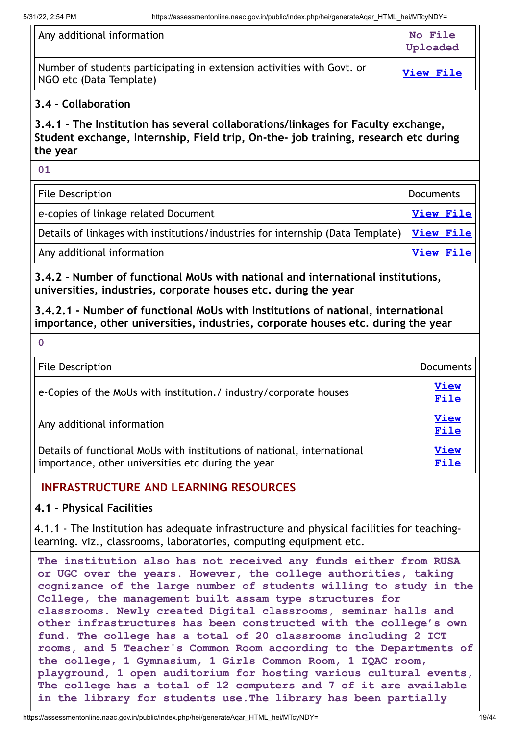$\ddot{\phantom{a}}$ 

| Any additional information                                                                           | No File<br>Uploaded |
|------------------------------------------------------------------------------------------------------|---------------------|
| Number of students participating in extension activities with Govt. or<br>   NGO etc (Data Template) | View File           |

## **3.4 - Collaboration**

**3.4.1 - The Institution has several collaborations/linkages for Faculty exchange, Student exchange, Internship, Field trip, On-the- job training, research etc during the year**

**01**

| File Description                                                                            | <b>Documents</b> |
|---------------------------------------------------------------------------------------------|------------------|
| e-copies of linkage related Document                                                        | <b>View File</b> |
| Details of linkages with institutions/industries for internship (Data Template)   View File |                  |
| Any additional information                                                                  | <u>View File</u> |

**3.4.2 - Number of functional MoUs with national and international institutions, universities, industries, corporate houses etc. during the year**

**3.4.2.1 - Number of functional MoUs with Institutions of national, international importance, other universities, industries, corporate houses etc. during the year**

**0**

| <b>File Description</b>                                                                                                       | <b>Documents</b>    |
|-------------------------------------------------------------------------------------------------------------------------------|---------------------|
| e-Copies of the MoUs with institution./ industry/corporate houses                                                             | <b>View</b><br>File |
| Any additional information                                                                                                    | <b>View</b><br>File |
| Details of functional MoUs with institutions of national, international<br>importance, other universities etc during the year | <b>View</b><br>File |

# **INFRASTRUCTURE AND LEARNING RESOURCES**

## **4.1 - Physical Facilities**

4.1.1 - The Institution has adequate infrastructure and physical facilities for teachinglearning. viz., classrooms, laboratories, computing equipment etc.

**The institution also has not received any funds either from RUSA or UGC over the years. However, the college authorities, taking cognizance of the large number of students willing to study in the College, the management built assam type structures for classrooms. Newly created Digital classrooms, seminar halls and other infrastructures has been constructed with the college's own fund. The college has a total of 20 classrooms including 2 ICT rooms, and 5 Teacher's Common Room according to the Departments of the college, 1 Gymnasium, 1 Girls Common Room, 1 IQAC room, playground, 1 open auditorium for hosting various cultural events, The college has a total of 12 computers and 7 of it are available in the library for students use.The library has been partially**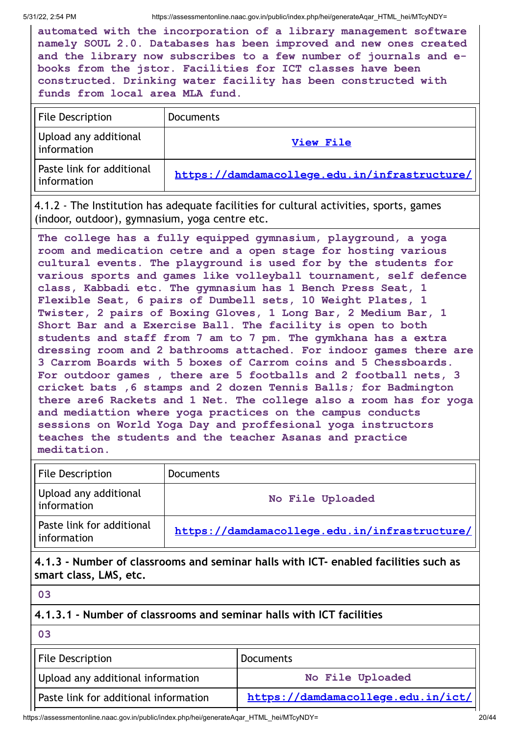**automated with the incorporation of a library management software namely SOUL 2.0. Databases has been improved and new ones created and the library now subscribes to a few number of journals and ebooks from the jstor. Facilities for ICT classes have been constructed. Drinking water facility has been constructed with funds from local area MLA fund.**

| File Description                         | <b>Documents</b>                              |
|------------------------------------------|-----------------------------------------------|
| Upload any additional<br>information     | View File                                     |
| Paste link for additional<br>information | https://damdamacollege.edu.in/infrastructure/ |

4.1.2 - The Institution has adequate facilities for cultural activities, sports, games (indoor, outdoor), gymnasium, yoga centre etc.

**The college has a fully equipped gymnasium, playground, a yoga room and medication cetre and a open stage for hosting various cultural events. The playground is used for by the students for various sports and games like volleyball tournament, self defence class, Kabbadi etc. The gymnasium has 1 Bench Press Seat, 1 Flexible Seat, 6 pairs of Dumbell sets, 10 Weight Plates, 1 Twister, 2 pairs of Boxing Gloves, 1 Long Bar, 2 Medium Bar, 1 Short Bar and a Exercise Ball. The facility is open to both students and staff from 7 am to 7 pm. The gymkhana has a extra dressing room and 2 bathrooms attached. For indoor games there are 3 Carrom Boards with 5 boxes of Carrom coins and 5 Chessboards. For outdoor games , there are 5 footballs and 2 football nets, 3 cricket bats ,6 stamps and 2 dozen Tennis Balls; for Badmington there are6 Rackets and 1 Net. The college also a room has for yoga and mediattion where yoga practices on the campus conducts sessions on World Yoga Day and proffesional yoga instructors teaches the students and the teacher Asanas and practice meditation.**

| File Description                         | <b>Documents</b>                              |
|------------------------------------------|-----------------------------------------------|
| Upload any additional<br>information     | No File Uploaded                              |
| Paste link for additional<br>information | https://damdamacollege.edu.in/infrastructure/ |

**4.1.3 - Number of classrooms and seminar halls with ICT- enabled facilities such as smart class, LMS, etc.**

**4.1.3.1 - Number of classrooms and seminar halls with ICT facilities**

**03**

| <b>File Description</b>               | Documents                          |
|---------------------------------------|------------------------------------|
| Upload any additional information     | No File Uploaded                   |
| Paste link for additional information | https://damdamacollege.edu.in/ict/ |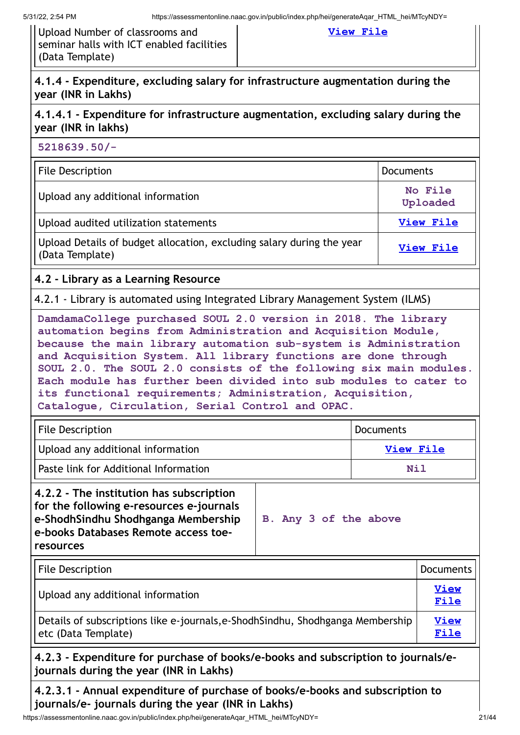Upload Number of classrooms and seminar halls with ICT enabled facilities (Data Template)

#### **[View](https://assessmentonline.naac.gov.in/storage/app/public/aqar/17246/17246_42_96.xlsx?1653989053) File**

# **4.1.4 - Expenditure, excluding salary for infrastructure augmentation during the year (INR in Lakhs)**

# **4.1.4.1 - Expenditure for infrastructure augmentation, excluding salary during the year (INR in lakhs)**

**5218639.50/-**

| File Description                                                                         | <b>Documents</b>    |
|------------------------------------------------------------------------------------------|---------------------|
| Upload any additional information                                                        | No File<br>Uploaded |
| Upload audited utilization statements                                                    | View File           |
| Upload Details of budget allocation, excluding salary during the year<br>(Data Template) | View File           |

# **4.2 - Library as a Learning Resource**

4.2.1 - Library is automated using Integrated Library Management System (ILMS)

**DamdamaCollege purchased SOUL 2.0 version in 2018. The library automation begins from Administration and Acquisition Module, because the main library automation sub-system is Administration and Acquisition System. All library functions are done through SOUL 2.0. The SOUL 2.0 consists of the following six main modules. Each module has further been divided into sub modules to cater to its functional requirements; Administration, Acquisition, Catalogue, Circulation, Serial Control and OPAC.**

| <b>File Description</b>                 | l Documents |
|-----------------------------------------|-------------|
| Upload any additional information       | View File   |
| l Paste link for Additional Information | Nil         |

| 4.2.2 - The institution has subscription<br>for the following e-resources e-journals<br>e-ShodhSindhu Shodhganga Membership<br>e-books Databases Remote access toe- | B. Any 3 of the above |
|---------------------------------------------------------------------------------------------------------------------------------------------------------------------|-----------------------|
| resources                                                                                                                                                           |                       |

| File Description                                                                                       | Documents           |
|--------------------------------------------------------------------------------------------------------|---------------------|
| Upload any additional information                                                                      | <b>View</b><br>File |
| Details of subscriptions like e-journals, e-Shodh Sindhu, Shodhganga Membership<br>etc (Data Template) | <b>View</b><br>File |

## **4.2.3 - Expenditure for purchase of books/e-books and subscription to journals/ejournals during the year (INR in Lakhs)**

**4.2.3.1 - Annual expenditure of purchase of books/e-books and subscription to journals/e- journals during the year (INR in Lakhs)**

https://assessmentonline.naac.gov.in/public/index.php/hei/generateAqar\_HTML\_hei/MTcyNDY= 21/44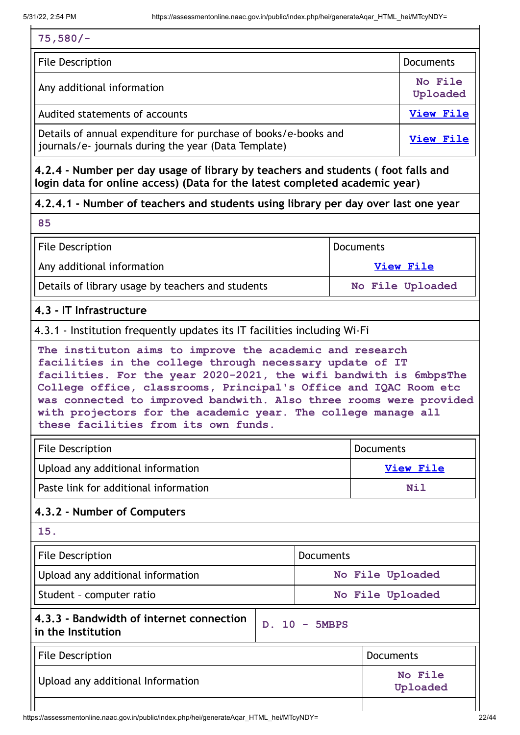#### **75,580/-**

| <b>File Description</b>                                                                                                 | <b>Documents</b>    |
|-------------------------------------------------------------------------------------------------------------------------|---------------------|
| Any additional information                                                                                              | No File<br>Uploaded |
| Audited statements of accounts                                                                                          | <b>View File</b>    |
| Details of annual expenditure for purchase of books/e-books and<br>journals/e- journals during the year (Data Template) | <b>View File</b>    |

**4.2.4 - Number per day usage of library by teachers and students ( foot falls and login data for online access) (Data for the latest completed academic year)**

# **4.2.4.1 - Number of teachers and students using library per day over last one year**

**85**

| <b>File Description</b>                           | Documents        |
|---------------------------------------------------|------------------|
| Any additional information                        | View File        |
| Details of library usage by teachers and students | No File Uploaded |

## **4.3 - IT Infrastructure**

## 4.3.1 - Institution frequently updates its IT facilities including Wi-Fi

**The instituton aims to improve the academic and research facilities in the college through necessary update of IT facilities. For the year 2020-2021, the wifi bandwith is 6mbpsThe College office, classrooms, Principal's Office and IQAC Room etc was connected to improved bandwith. Also three rooms were provided with projectors for the academic year. The college manage all these facilities from its own funds.**

| File Description                      | l Documents |
|---------------------------------------|-------------|
| Upload any additional information     | View File   |
| Paste link for additional information | Nil         |

# **4.3.2 - Number of Computers**

**15.** File Description **Documents** Upload any additional information **No No File** Uploaded Student – computer ratio **No File Uploaded 4.3.3 - Bandwidth of internet connection in the Institution D. 10 - 5MBPS** File Description **Documents** Upload any additional Information **No File Uploaded**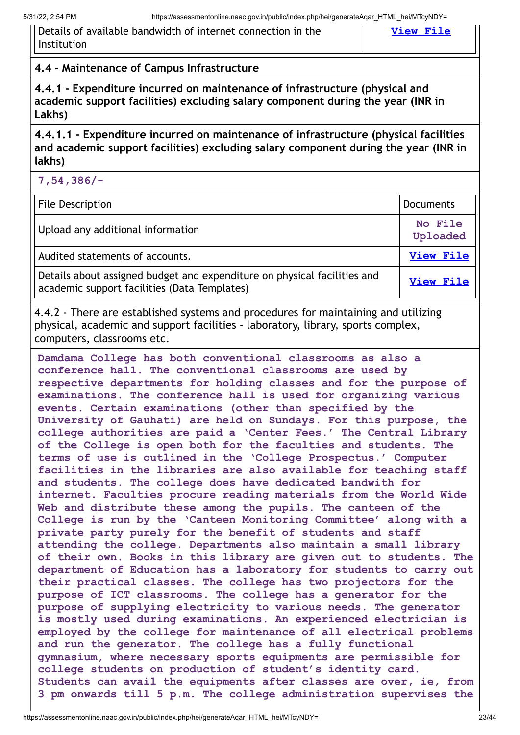Details of available bandwidth of internet connection in the Institution

#### **[View](https://assessmentonline.naac.gov.in/storage/app/public/aqar/17246/17246_50_114.pdf?1653989053) File**

## **4.4 - Maintenance of Campus Infrastructure**

**4.4.1 - Expenditure incurred on maintenance of infrastructure (physical and academic support facilities) excluding salary component during the year (INR in Lakhs)**

**4.4.1.1 - Expenditure incurred on maintenance of infrastructure (physical facilities and academic support facilities) excluding salary component during the year (INR in lakhs)**

| $7,54,386/-$                      |                     |
|-----------------------------------|---------------------|
| File Description                  | Documents           |
| Upload any additional information | No File<br>Uploaded |
| Audited statements of accounts.   | <b>View File</b>    |

Details about assigned budget and expenditure on physical facilities and academic support facilities (Data Templates) **[View](https://assessmentonline.naac.gov.in/storage/app/public/aqar/17246/17246_51_117.xlsx?1653989053) File**

4.4.2 - There are established systems and procedures for maintaining and utilizing physical, academic and support facilities - laboratory, library, sports complex, computers, classrooms etc.

**Damdama College has both conventional classrooms as also a conference hall. The conventional classrooms are used by respective departments for holding classes and for the purpose of examinations. The conference hall is used for organizing various events. Certain examinations (other than specified by the University of Gauhati) are held on Sundays. For this purpose, the college authorities are paid a 'Center Fees.' The Central Library of the College is open both for the faculties and students. The terms of use is outlined in the 'College Prospectus.' Computer facilities in the libraries are also available for teaching staff and students. The college does have dedicated bandwith for internet. Faculties procure reading materials from the World Wide Web and distribute these among the pupils. The canteen of the College is run by the 'Canteen Monitoring Committee' along with a private party purely for the benefit of students and staff attending the college. Departments also maintain a small library of their own. Books in this library are given out to students. The department of Education has a laboratory for students to carry out their practical classes. The college has two projectors for the purpose of ICT classrooms. The college has a generator for the purpose of supplying electricity to various needs. The generator is mostly used during examinations. An experienced electrician is employed by the college for maintenance of all electrical problems and run the generator. The college has a fully functional gymnasium, where necessary sports equipments are permissible for college students on production of student's identity card. Students can avail the equipments after classes are over, ie, from 3 pm onwards till 5 p.m. The college administration supervises the**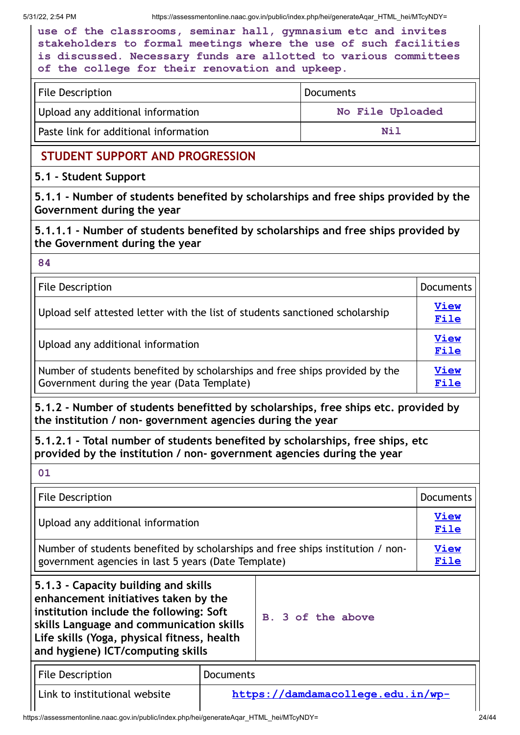|                                                                  | use of the classrooms, seminar hall, gymnasium etc and invites   |  |
|------------------------------------------------------------------|------------------------------------------------------------------|--|
| stakeholders to formal meetings where the use of such facilities |                                                                  |  |
|                                                                  | is discussed. Necessary funds are allotted to various committees |  |
| of the college for their renovation and upkeep.                  |                                                                  |  |

| File Description                      | Documents        |
|---------------------------------------|------------------|
| Upload any additional information     | No File Uploaded |
| Paste link for additional information | Nil              |

# **STUDENT SUPPORT AND PROGRESSION**

# **5.1 - Student Support**

**5.1.1 - Number of students benefited by scholarships and free ships provided by the Government during the year**

**5.1.1.1 - Number of students benefited by scholarships and free ships provided by the Government during the year**

**84**

| <b>File Description</b>                                                                                                   | <b>Documents</b>    |
|---------------------------------------------------------------------------------------------------------------------------|---------------------|
| Upload self attested letter with the list of students sanctioned scholarship                                              | <b>View</b><br>File |
| Upload any additional information                                                                                         | <b>View</b><br>File |
| Number of students benefited by scholarships and free ships provided by the<br>Government during the year (Data Template) | <b>View</b><br>File |

**5.1.2 - Number of students benefitted by scholarships, free ships etc. provided by the institution / non- government agencies during the year**

**5.1.2.1 - Total number of students benefited by scholarships, free ships, etc provided by the institution / non- government agencies during the year**

| 01                                                                                                                                                                                                                                                      |                                   |                            |                     |
|---------------------------------------------------------------------------------------------------------------------------------------------------------------------------------------------------------------------------------------------------------|-----------------------------------|----------------------------|---------------------|
| File Description                                                                                                                                                                                                                                        |                                   |                            | <b>Documents</b>    |
| Upload any additional information                                                                                                                                                                                                                       |                                   | <b>View</b><br><u>File</u> |                     |
| Number of students benefited by scholarships and free ships institution / non-<br>government agencies in last 5 years (Date Template)                                                                                                                   |                                   |                            | <b>View</b><br>File |
| 5.1.3 - Capacity building and skills<br>enhancement initiatives taken by the<br>institution include the following: Soft<br>skills Language and communication skills<br>Life skills (Yoga, physical fitness, health<br>and hygiene) ICT/computing skills |                                   | B. 3 of the above          |                     |
| <b>File Description</b>                                                                                                                                                                                                                                 | <b>Documents</b>                  |                            |                     |
| Link to institutional website                                                                                                                                                                                                                           | https://damdamacollege.edu.in/wp- |                            |                     |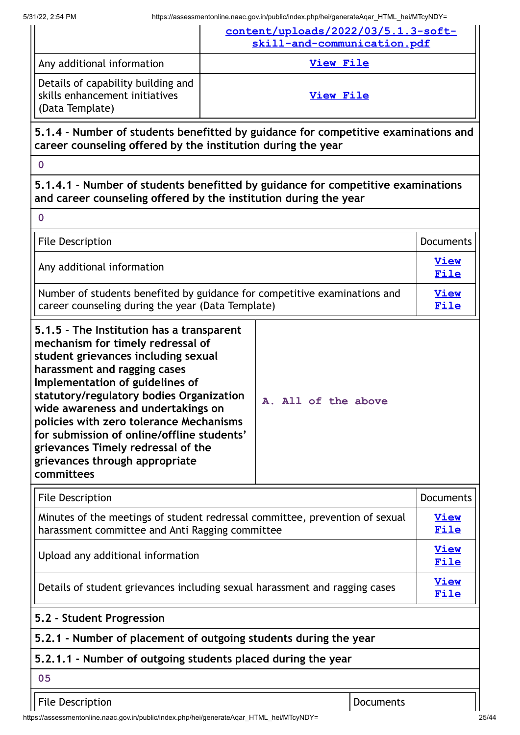| 13 1122, 2.34 PM                                                                                                                                                                                                                                                                                                                                                                                             |                  | $m$ mups.//assessmentonline.naac.gov.in/public/index.prip/nei/generateAqar $m$ rivic nei/iviTcyND t<br>content/uploads/2022/03/5.1.3-soft- |           |                     |
|--------------------------------------------------------------------------------------------------------------------------------------------------------------------------------------------------------------------------------------------------------------------------------------------------------------------------------------------------------------------------------------------------------------|------------------|--------------------------------------------------------------------------------------------------------------------------------------------|-----------|---------------------|
|                                                                                                                                                                                                                                                                                                                                                                                                              |                  | skill-and-communication.pdf                                                                                                                |           |                     |
| Any additional information                                                                                                                                                                                                                                                                                                                                                                                   | <b>View File</b> |                                                                                                                                            |           |                     |
| Details of capability building and<br>skills enhancement initiatives<br>(Data Template)                                                                                                                                                                                                                                                                                                                      | <b>View File</b> |                                                                                                                                            |           |                     |
| 5.1.4 - Number of students benefitted by guidance for competitive examinations and<br>career counseling offered by the institution during the year                                                                                                                                                                                                                                                           |                  |                                                                                                                                            |           |                     |
| $\mathbf 0$                                                                                                                                                                                                                                                                                                                                                                                                  |                  |                                                                                                                                            |           |                     |
| 5.1.4.1 - Number of students benefitted by guidance for competitive examinations<br>and career counseling offered by the institution during the year                                                                                                                                                                                                                                                         |                  |                                                                                                                                            |           |                     |
| $\mathbf 0$                                                                                                                                                                                                                                                                                                                                                                                                  |                  |                                                                                                                                            |           |                     |
| <b>File Description</b>                                                                                                                                                                                                                                                                                                                                                                                      |                  |                                                                                                                                            |           | <b>Documents</b>    |
| Any additional information                                                                                                                                                                                                                                                                                                                                                                                   |                  |                                                                                                                                            |           | <b>View</b><br>File |
| Number of students benefited by guidance for competitive examinations and<br>career counseling during the year (Data Template)                                                                                                                                                                                                                                                                               |                  |                                                                                                                                            |           | <b>View</b><br>File |
| mechanism for timely redressal of<br>student grievances including sexual<br>harassment and ragging cases<br>Implementation of guidelines of<br>statutory/regulatory bodies Organization<br>wide awareness and undertakings on<br>policies with zero tolerance Mechanisms<br>for submission of online/offline students'<br>grievances Timely redressal of the<br>grievances through appropriate<br>committees |                  | A. All of the above                                                                                                                        |           |                     |
| <b>File Description</b>                                                                                                                                                                                                                                                                                                                                                                                      |                  |                                                                                                                                            |           | <b>Documents</b>    |
| Minutes of the meetings of student redressal committee, prevention of sexual<br>harassment committee and Anti Ragging committee                                                                                                                                                                                                                                                                              |                  |                                                                                                                                            |           | <b>View</b><br>File |
| Upload any additional information                                                                                                                                                                                                                                                                                                                                                                            |                  | <b>View</b><br><b>File</b>                                                                                                                 |           |                     |
| Details of student grievances including sexual harassment and ragging cases                                                                                                                                                                                                                                                                                                                                  |                  | <b>View</b><br>File                                                                                                                        |           |                     |
| 5.2 - Student Progression                                                                                                                                                                                                                                                                                                                                                                                    |                  |                                                                                                                                            |           |                     |
| 5.2.1 - Number of placement of outgoing students during the year                                                                                                                                                                                                                                                                                                                                             |                  |                                                                                                                                            |           |                     |
| 5.2.1.1 - Number of outgoing students placed during the year                                                                                                                                                                                                                                                                                                                                                 |                  |                                                                                                                                            |           |                     |
| 05                                                                                                                                                                                                                                                                                                                                                                                                           |                  |                                                                                                                                            |           |                     |
| <b>File Description</b>                                                                                                                                                                                                                                                                                                                                                                                      |                  |                                                                                                                                            | Documents |                     |

https://assessmentonline.naac.gov.in/public/index.php/hei/generateAqar\_HTML\_hei/MTcyNDY= 25/44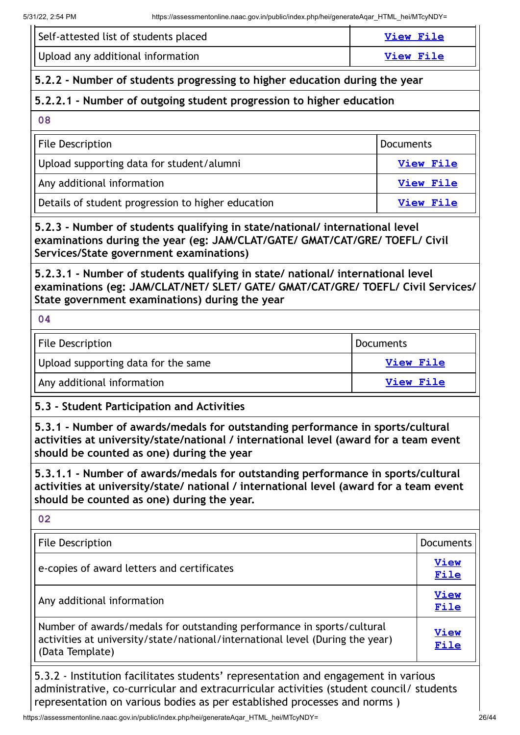| Self-attested list of students placed                                                                                                                                                                                    |                  | <b>View File</b> |                     |
|--------------------------------------------------------------------------------------------------------------------------------------------------------------------------------------------------------------------------|------------------|------------------|---------------------|
| Upload any additional information                                                                                                                                                                                        |                  | <b>View File</b> |                     |
| 5.2.2 - Number of students progressing to higher education during the year                                                                                                                                               |                  |                  |                     |
| 5.2.2.1 - Number of outgoing student progression to higher education                                                                                                                                                     |                  |                  |                     |
| 08                                                                                                                                                                                                                       |                  |                  |                     |
| <b>File Description</b>                                                                                                                                                                                                  |                  | <b>Documents</b> |                     |
| Upload supporting data for student/alumni                                                                                                                                                                                |                  |                  | <b>View File</b>    |
| Any additional information                                                                                                                                                                                               |                  |                  | <b>View File</b>    |
| Details of student progression to higher education                                                                                                                                                                       |                  |                  | <b>View File</b>    |
| 5.2.3 - Number of students qualifying in state/national/ international level<br>examinations during the year (eg: JAM/CLAT/GATE/ GMAT/CAT/GRE/ TOEFL/ Civil<br>Services/State government examinations)                   |                  |                  |                     |
| 5.2.3.1 - Number of students qualifying in state/ national/ international level<br>examinations (eg: JAM/CLAT/NET/ SLET/ GATE/ GMAT/CAT/GRE/ TOEFL/ Civil Services/<br>State government examinations) during the year    |                  |                  |                     |
| 04                                                                                                                                                                                                                       |                  |                  |                     |
| <b>File Description</b>                                                                                                                                                                                                  | <b>Documents</b> |                  |                     |
| Upload supporting data for the same                                                                                                                                                                                      | <b>View File</b> |                  |                     |
| Any additional information<br><b>View File</b>                                                                                                                                                                           |                  |                  |                     |
| 5.3 - Student Participation and Activities                                                                                                                                                                               |                  |                  |                     |
| 5.3.1 - Number of awards/medals for outstanding performance in sports/cultural<br>activities at university/state/national / international level (award for a team event<br>should be counted as one) during the year     |                  |                  |                     |
| 5.3.1.1 - Number of awards/medals for outstanding performance in sports/cultural<br>activities at university/state/ national / international level (award for a team event<br>should be counted as one) during the year. |                  |                  |                     |
| 02                                                                                                                                                                                                                       |                  |                  |                     |
| <b>File Description</b>                                                                                                                                                                                                  |                  |                  | <b>Documents</b>    |
| e-copies of award letters and certificates                                                                                                                                                                               |                  |                  | <b>View</b><br>File |
| Any additional information                                                                                                                                                                                               |                  |                  | <b>View</b><br>File |
| Number of awards/medals for outstanding performance in sports/cultural<br>activities at university/state/national/international level (During the year)<br>(Data Template)                                               |                  | View<br>File     |                     |

5.3.2 - Institution facilitates students' representation and engagement in various administrative, co-curricular and extracurricular activities (student council/ students representation on various bodies as per established processes and norms )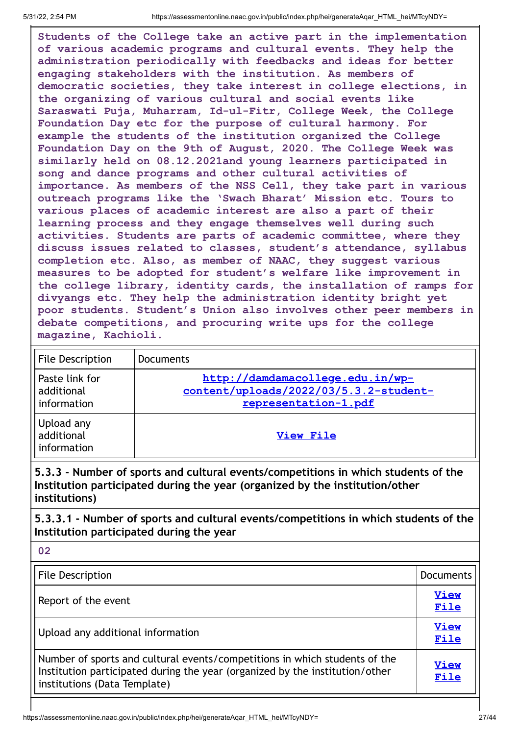**02**

**Students of the College take an active part in the implementation of various academic programs and cultural events. They help the administration periodically with feedbacks and ideas for better engaging stakeholders with the institution. As members of democratic societies, they take interest in college elections, in the organizing of various cultural and social events like Saraswati Puja, Muharram, Id-ul-Fitr, College Week, the College Foundation Day etc for the purpose of cultural harmony. For example the students of the institution organized the College Foundation Day on the 9th of August, 2020. The College Week was similarly held on 08.12.2021and young learners participated in song and dance programs and other cultural activities of importance. As members of the NSS Cell, they take part in various outreach programs like the 'Swach Bharat' Mission etc. Tours to various places of academic interest are also a part of their learning process and they engage themselves well during such activities. Students are parts of academic committee, where they discuss issues related to classes, student's attendance, syllabus completion etc. Also, as member of NAAC, they suggest various measures to be adopted for student's welfare like improvement in the college library, identity cards, the installation of ramps for divyangs etc. They help the administration identity bright yet poor students. Student's Union also involves other peer members in debate competitions, and procuring write ups for the college magazine, Kachioli.**

| <b>File Description</b>                     | Documents                                                                                          |
|---------------------------------------------|----------------------------------------------------------------------------------------------------|
| Paste link for<br>additional<br>information | http://damdamacollege.edu.in/wp-<br>content/uploads/2022/03/5.3.2-student-<br>representation-1.pdf |
| Upload any<br>additional<br>information     | View File                                                                                          |

# **5.3.3 - Number of sports and cultural events/competitions in which students of the Institution participated during the year (organized by the institution/other institutions)**

**5.3.3.1 - Number of sports and cultural events/competitions in which students of the Institution participated during the year**

| <b>File Description</b>                                                                                                                                                                    | <b>Documents</b>    |
|--------------------------------------------------------------------------------------------------------------------------------------------------------------------------------------------|---------------------|
| Report of the event                                                                                                                                                                        | <b>View</b><br>File |
| Upload any additional information                                                                                                                                                          | <b>View</b><br>File |
| Number of sports and cultural events/competitions in which students of the<br>Institution participated during the year (organized by the institution/other<br>institutions (Data Template) | <b>View</b><br>File |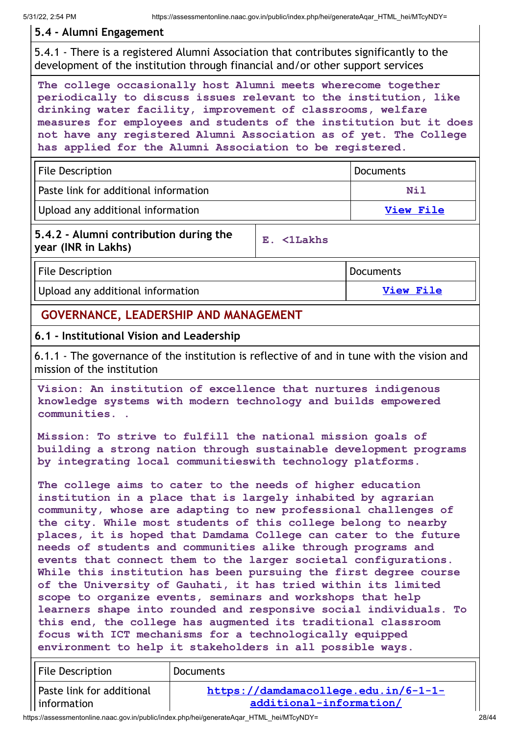## **5.4 - Alumni Engagement**

5.4.1 - There is a registered Alumni Association that contributes significantly to the development of the institution through financial and/or other support services

**The college occasionally host Alumni meets wherecome together periodically to discuss issues relevant to the institution, like drinking water facility, improvement of classrooms, welfare measures for employees and students of the institution but it does not have any registered Alumni Association as of yet. The College has applied for the Alumni Association to be registered.**

| File Description                        | Documents |
|-----------------------------------------|-----------|
| l Paste link for additional information | Nil       |
| Upload any additional information       | View File |

## **5.4.2 - Alumni contribution during the year (INR in Lakhs) E. <1Lakhs**

File Description **Documents** Upload any additional information **View [File](https://assessmentonline.naac.gov.in/storage/app/public/aqar/17246/17246_65_150.xlsx?1653989053)** 

# **GOVERNANCE, LEADERSHIP AND MANAGEMENT**

## **6.1 - Institutional Vision and Leadership**

6.1.1 - The governance of the institution is reflective of and in tune with the vision and mission of the institution

**Vision: An institution of excellence that nurtures indigenous knowledge systems with modern technology and builds empowered communities. .**

**Mission: To strive to fulfill the national mission goals of building a strong nation through sustainable development programs by integrating local communitieswith technology platforms.**

**The college aims to cater to the needs of higher education institution in a place that is largely inhabited by agrarian community, whose are adapting to new professional challenges of the city. While most students of this college belong to nearby places, it is hoped that Damdama College can cater to the future needs of students and communities alike through programs and events that connect them to the larger societal configurations. While this institution has been pursuing the first degree course of the University of Gauhati, it has tried within its limited scope to organize events, seminars and workshops that help learners shape into rounded and responsive social individuals. To this end, the college has augmented its traditional classroom focus with ICT mechanisms for a technologically equipped environment to help it stakeholders in all possible ways.**

| File Description          | <b>Documents</b>                     |
|---------------------------|--------------------------------------|
| Paste link for additional | https://damdamacollege.edu.in/6-1-1- |
| l information             | additional-information/              |

https://assessmentonline.naac.gov.in/public/index.php/hei/generateAqar\_HTML\_hei/MTcyNDY= 28/44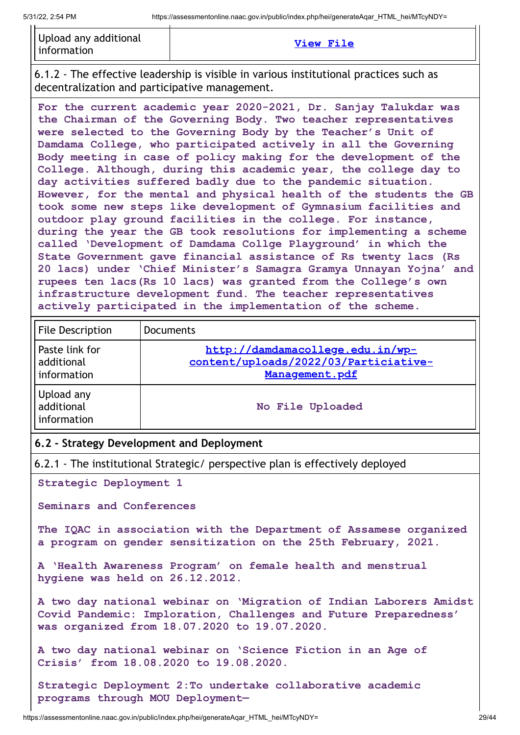| Upload any additional<br>l information | View File |
|----------------------------------------|-----------|
|----------------------------------------|-----------|

6.1.2 - The effective leadership is visible in various institutional practices such as decentralization and participative management.

**For the current academic year 2020-2021, Dr. Sanjay Talukdar was the Chairman of the Governing Body. Two teacher representatives were selected to the Governing Body by the Teacher's Unit of Damdama College, who participated actively in all the Governing Body meeting in case of policy making for the development of the College. Although, during this academic year, the college day to day activities suffered badly due to the pandemic situation. However, for the mental and physical health of the students the GB took some new steps like development of Gymnasium facilities and outdoor play ground facilities in the college. For instance, during the year the GB took resolutions for implementing a scheme called 'Development of Damdama Collge Playground' in which the State Government gave financial assistance of Rs twenty lacs (Rs 20 lacs) under 'Chief Minister's Samagra Gramya Unnayan Yojna' and rupees ten lacs(Rs 10 lacs) was granted from the College's own infrastructure development fund. The teacher representatives actively participated in the implementation of the scheme.**

| <b>File Description</b>                     | <b>Documents</b>                                                                            |
|---------------------------------------------|---------------------------------------------------------------------------------------------|
| Paste link for<br>additional<br>information | http://damdamacollege.edu.in/wp-<br>content/uploads/2022/03/Particiative-<br>Management.pdf |
| Upload any<br>additional<br>information     | No File Uploaded                                                                            |

#### **6.2 - Strategy Development and Deployment**

6.2.1 - The institutional Strategic/ perspective plan is effectively deployed

**Strategic Deployment 1**

**Seminars and Conferences**

**The IQAC in association with the Department of Assamese organized a program on gender sensitization on the 25th February, 2021.**

**A 'Health Awareness Program' on female health and menstrual hygiene was held on 26.12.2012.**

**A two day national webinar on 'Migration of Indian Laborers Amidst Covid Pandemic: Imploration, Challenges and Future Preparedness' was organized from 18.07.2020 to 19.07.2020.**

**A two day national webinar on 'Science Fiction in an Age of Crisis' from 18.08.2020 to 19.08.2020.**

**Strategic Deployment 2:To undertake collaborative academic programs through MOU Deployment—**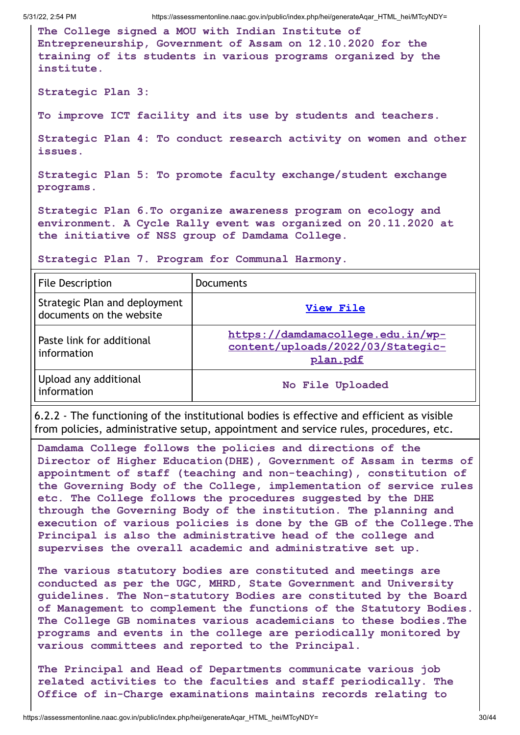**The College signed a MOU with Indian Institute of Entrepreneurship, Government of Assam on 12.10.2020 for the training of its students in various programs organized by the institute.**

**Strategic Plan 3:**

**To improve ICT facility and its use by students and teachers.**

**Strategic Plan 4: To conduct research activity on women and other issues.**

**Strategic Plan 5: To promote faculty exchange/student exchange programs.**

**Strategic Plan 6.To organize awareness program on ecology and environment. A Cycle Rally event was organized on 20.11.2020 at the initiative of NSS group of Damdama College.**

**Strategic Plan 7. Program for Communal Harmony.**

| <b>File Description</b>                                   | <b>Documents</b>                                                                   |
|-----------------------------------------------------------|------------------------------------------------------------------------------------|
| Strategic Plan and deployment<br>documents on the website | View File                                                                          |
| Paste link for additional<br>information                  | https://damdamacollege.edu.in/wp-<br>content/uploads/2022/03/Stategic-<br>plan.pdf |
| Upload any additional<br>information                      | No File Uploaded                                                                   |

6.2.2 - The functioning of the institutional bodies is effective and efficient as visible from policies, administrative setup, appointment and service rules, procedures, etc.

**Damdama College follows the policies and directions of the Director of Higher Education(DHE), Government of Assam in terms of appointment of staff (teaching and non-teaching), constitution of the Governing Body of the College, implementation of service rules etc. The College follows the procedures suggested by the DHE through the Governing Body of the institution. The planning and execution of various policies is done by the GB of the College.The Principal is also the administrative head of the college and supervises the overall academic and administrative set up.**

**The various statutory bodies are constituted and meetings are conducted as per the UGC, MHRD, State Government and University guidelines. The Non-statutory Bodies are constituted by the Board of Management to complement the functions of the Statutory Bodies. The College GB nominates various academicians to these bodies.The programs and events in the college are periodically monitored by various committees and reported to the Principal.**

**The Principal and Head of Departments communicate various job related activities to the faculties and staff periodically. The Office of in-Charge examinations maintains records relating to**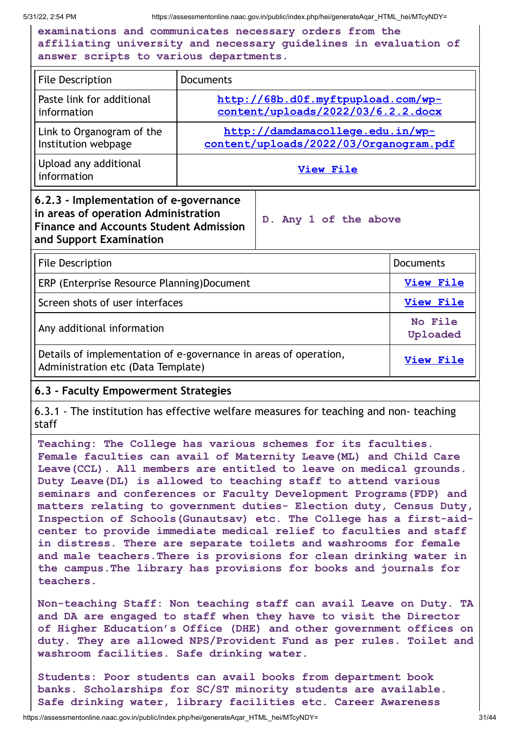**examinations and communicates necessary orders from the affiliating university and necessary guidelines in evaluation of answer scripts to various departments.**

| <b>File Description</b>              | <b>Documents</b>                       |
|--------------------------------------|----------------------------------------|
| Paste link for additional            | http://68b.d0f.myftpupload.com/wp-     |
| information                          | content/uploads/2022/03/6.2.2.docx     |
| Link to Organogram of the            | http://damdamacollege.edu.in/wp-       |
| Institution webpage                  | content/uploads/2022/03/Organogram.pdf |
| Upload any additional<br>information | <b>View File</b>                       |

## **6.2.3 - Implementation of e-governance in areas of operation Administration Finance and Accounts Student Admission and Support Examination**

**D. Any 1 of the above**

| <b>File Description</b>                                                                                | <b>Documents</b>    |
|--------------------------------------------------------------------------------------------------------|---------------------|
| ERP (Enterprise Resource Planning)Document                                                             | View File           |
| Screen shots of user interfaces                                                                        | <b>View File</b>    |
| Any additional information                                                                             | No File<br>Uploaded |
| Details of implementation of e-governance in areas of operation,<br>Administration etc (Data Template) | <b>View File</b>    |

# **6.3 - Faculty Empowerment Strategies**

6.3.1 - The institution has effective welfare measures for teaching and non- teaching staff

**Teaching: The College has various schemes for its faculties. Female faculties can avail of Maternity Leave(ML) and Child Care Leave(CCL). All members are entitled to leave on medical grounds. Duty Leave(DL) is allowed to teaching staff to attend various seminars and conferences or Faculty Development Programs(FDP) and matters relating to government duties- Election duty, Census Duty, Inspection of Schools(Gunautsav) etc. The College has a first-aidcenter to provide immediate medical relief to faculties and staff in distress. There are separate toilets and washrooms for female and male teachers.There is provisions for clean drinking water in the campus.The library has provisions for books and journals for teachers.**

**Non-teaching Staff: Non teaching staff can avail Leave on Duty. TA and DA are engaged to staff when they have to visit the Director of Higher Education's Office (DHE) and other government offices on duty. They are allowed NPS/Provident Fund as per rules. Toilet and washroom facilities. Safe drinking water.**

**Students: Poor students can avail books from department book banks. Scholarships for SC/ST minority students are available. Safe drinking water, library facilities etc. Career Awareness**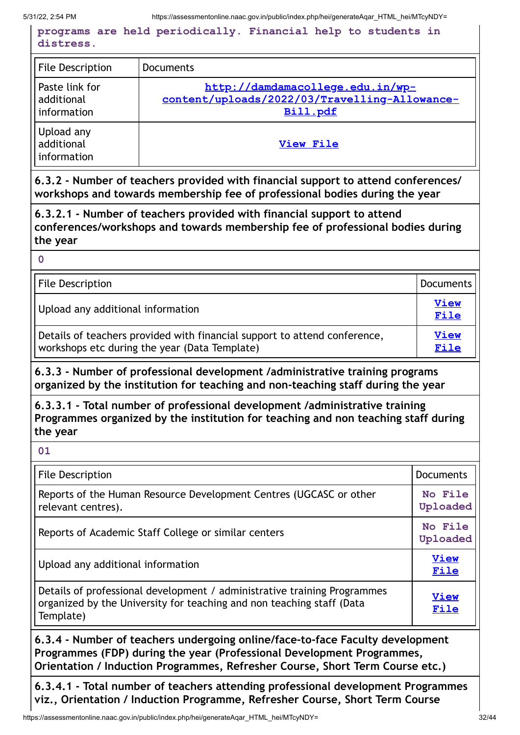**programs are held periodically. Financial help to students in distress.**

| <b>File Description</b>                     | <b>Documents</b>                                                                              |
|---------------------------------------------|-----------------------------------------------------------------------------------------------|
| Paste link for<br>additional<br>information | http://damdamacollege.edu.in/wp-<br>content/uploads/2022/03/Travelling-Allowance-<br>Bill.pdf |
| Upload any<br>additional<br>information     | View File                                                                                     |

**6.3.2 - Number of teachers provided with financial support to attend conferences/ workshops and towards membership fee of professional bodies during the year**

**6.3.2.1 - Number of teachers provided with financial support to attend conferences/workshops and towards membership fee of professional bodies during the year**

**0**

| <b>File Description</b>                                                                                                    | <b>Documents</b>    |
|----------------------------------------------------------------------------------------------------------------------------|---------------------|
| Upload any additional information                                                                                          | <b>View</b><br>File |
| Details of teachers provided with financial support to attend conference,<br>workshops etc during the year (Data Template) | <b>View</b><br>File |

**6.3.3 - Number of professional development /administrative training programs organized by the institution for teaching and non-teaching staff during the year**

**6.3.3.1 - Total number of professional development /administrative training Programmes organized by the institution for teaching and non teaching staff during the year**

**01**

| <b>File Description</b>                                                                                                                                        | <b>Documents</b>    |
|----------------------------------------------------------------------------------------------------------------------------------------------------------------|---------------------|
| Reports of the Human Resource Development Centres (UGCASC or other<br>relevant centres).                                                                       | No File<br>Uploaded |
| Reports of Academic Staff College or similar centers                                                                                                           | No File<br>Uploaded |
| Upload any additional information                                                                                                                              | <b>View</b><br>File |
| Details of professional development / administrative training Programmes<br>organized by the University for teaching and non teaching staff (Data<br>Template) | <b>View</b><br>File |

**6.3.4 - Number of teachers undergoing online/face-to-face Faculty development Programmes (FDP) during the year (Professional Development Programmes, Orientation / Induction Programmes, Refresher Course, Short Term Course etc.)**

**6.3.4.1 - Total number of teachers attending professional development Programmes viz., Orientation / Induction Programme, Refresher Course, Short Term Course**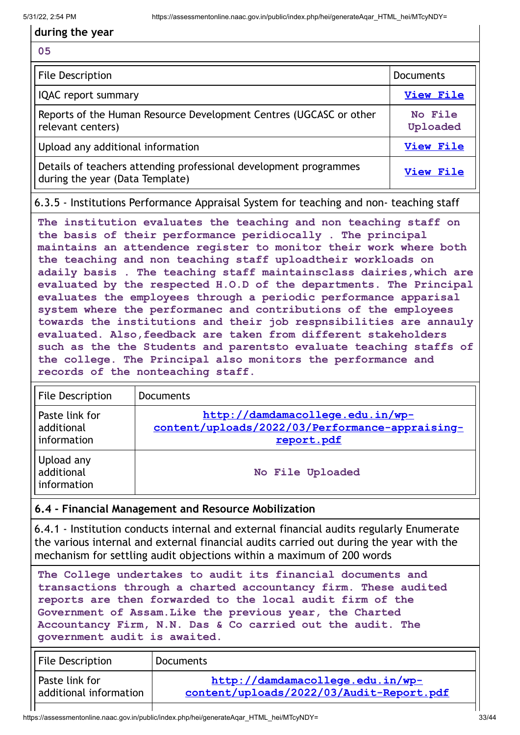## **during the year**

#### **05**

| File Description                                                                                     | <b>Documents</b>    |
|------------------------------------------------------------------------------------------------------|---------------------|
| <b>IQAC</b> report summary                                                                           | View File           |
| Reports of the Human Resource Development Centres (UGCASC or other<br>relevant centers)              | No File<br>Uploaded |
| Upload any additional information                                                                    | <b>View File</b>    |
| Details of teachers attending professional development programmes<br>during the year (Data Template) | View File           |

6.3.5 - Institutions Performance Appraisal System for teaching and non- teaching staff

**The institution evaluates the teaching and non teaching staff on the basis of their performance peridiocally . The principal maintains an attendence register to monitor their work where both the teaching and non teaching staff uploadtheir workloads on adaily basis . The teaching staff maintainsclass dairies,which are evaluated by the respected H.O.D of the departments. The Principal evaluates the employees through a periodic performance apparisal system where the performanec and contributions of the employees towards the institutions and their job respnsibilities are annauly evaluated. Also,feedback are taken from different stakeholders such as the the Students and parentsto evaluate teaching staffs of the college. The Principal also monitors the performance and records of the nonteaching staff.**

| <b>File Description</b>                     | <b>Documents</b>                                                                                  |
|---------------------------------------------|---------------------------------------------------------------------------------------------------|
| Paste link for<br>additional<br>information | http://damdamacollege.edu.in/wp-<br>content/uploads/2022/03/Performance-appraising-<br>report.pdf |
| Upload any<br>additional<br>information     | No File Uploaded                                                                                  |

# **6.4 - Financial Management and Resource Mobilization**

6.4.1 - Institution conducts internal and external financial audits regularly Enumerate the various internal and external financial audits carried out during the year with the mechanism for settling audit objections within a maximum of 200 words

**The College undertakes to audit its financial documents and transactions through a charted accountancy firm. These audited reports are then forwarded to the local audit firm of the Government of Assam.Like the previous year, the Charted Accountancy Firm, N.N. Das & Co carried out the audit. The government audit is awaited.**

| <b>Documents</b>                                                             |
|------------------------------------------------------------------------------|
| http://damdamacollege.edu.in/wp-<br>content/uploads/2022/03/Audit-Report.pdf |
|                                                                              |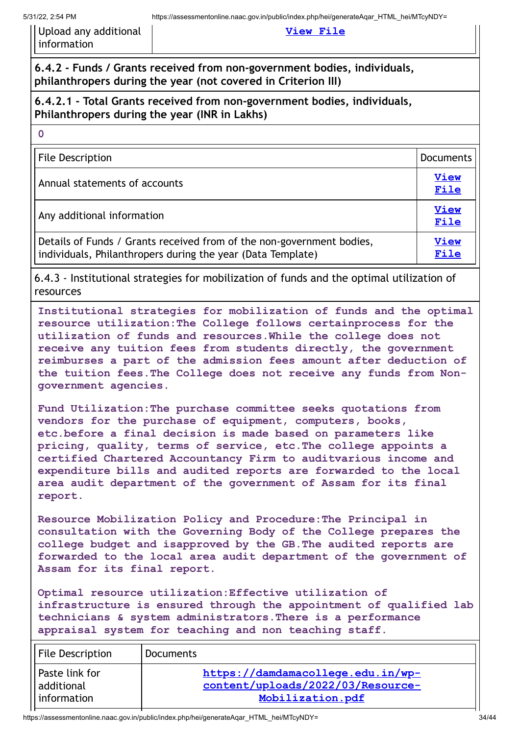| Upload any additional |
|-----------------------|
| information           |

#### **View [File](https://assessmentonline.naac.gov.in/storage/app/public/aqar/17246/17246_76_180.pdf?1653989053)**

**6.4.2 - Funds / Grants received from non-government bodies, individuals, philanthropers during the year (not covered in Criterion III)**

## **6.4.2.1 - Total Grants received from non-government bodies, individuals, Philanthropers during the year (INR in Lakhs)**

| <b>File Description</b>                                                                                                              | <b>Documents</b>    |
|--------------------------------------------------------------------------------------------------------------------------------------|---------------------|
| Annual statements of accounts                                                                                                        | <b>View</b><br>File |
| Any additional information                                                                                                           | <b>View</b><br>File |
| Details of Funds / Grants received from of the non-government bodies,<br>individuals, Philanthropers during the year (Data Template) | View<br>File        |

6.4.3 - Institutional strategies for mobilization of funds and the optimal utilization of resources

**Institutional strategies for mobilization of funds and the optimal resource utilization:The College follows certainprocess for the utilization of funds and resources.While the college does not receive any tuition fees from students directly, the government reimburses a part of the admission fees amount after deduction of the tuition fees.The College does not receive any funds from Nongovernment agencies.**

**Fund Utilization:The purchase committee seeks quotations from vendors for the purchase of equipment, computers, books, etc.before a final decision is made based on parameters like pricing, quality, terms of service, etc.The college appoints a certified Chartered Accountancy Firm to auditvarious income and expenditure bills and audited reports are forwarded to the local area audit department of the government of Assam for its final report.**

**Resource Mobilization Policy and Procedure:The Principal in consultation with the Governing Body of the College prepares the college budget and isapproved by the GB.The audited reports are forwarded to the local area audit department of the government of Assam for its final report.**

**Optimal resource utilization:Effective utilization of infrastructure is ensured through the appointment of qualified lab technicians & system administrators.There is a performance appraisal system for teaching and non teaching staff.**

| File Description | <b>Documents</b>                  |
|------------------|-----------------------------------|
| l Paste link for | https://damdamacollege.edu.in/wp- |
| l additional     | content/uploads/2022/03/Resource- |
| information      | Mobilization.pdf                  |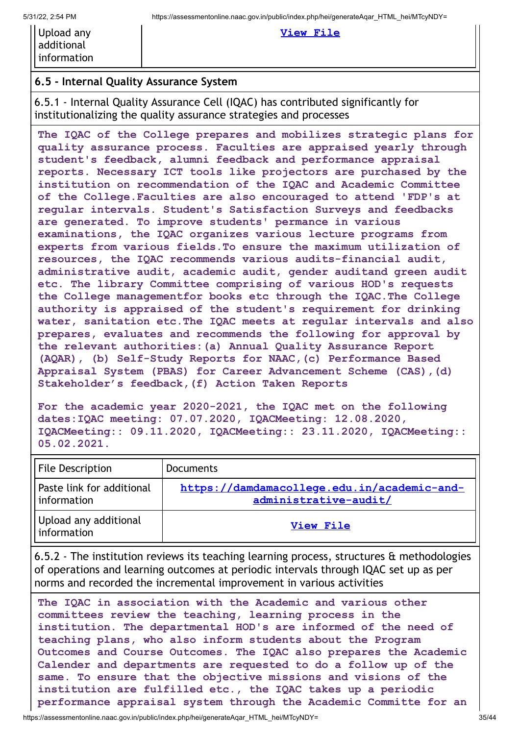| Upload any  |
|-------------|
| additional  |
| information |

#### **View [File](https://assessmentonline.naac.gov.in/storage/app/public/aqar/17246/17246_78_185.docx?1653989053)**

# **6.5 - Internal Quality Assurance System**

6.5.1 - Internal Quality Assurance Cell (IQAC) has contributed significantly for institutionalizing the quality assurance strategies and processes

**The IQAC of the College prepares and mobilizes strategic plans for quality assurance process. Faculties are appraised yearly through student's feedback, alumni feedback and performance appraisal reports. Necessary ICT tools like projectors are purchased by the institution on recommendation of the IQAC and Academic Committee of the College.Faculties are also encouraged to attend 'FDP's at regular intervals. Student's Satisfaction Surveys and feedbacks are generated. To improve students' permance in various examinations, the IQAC organizes various lecture programs from experts from various fields.To ensure the maximum utilization of resources, the IQAC recommends various audits-financial audit, administrative audit, academic audit, gender auditand green audit etc. The library Committee comprising of various HOD's requests the College managementfor books etc through the IQAC.The College authority is appraised of the student's requirement for drinking water, sanitation etc.The IQAC meets at regular intervals and also prepares, evaluates and recommends the following for approval by the relevant authorities:(a) Annual Quality Assurance Report (AQAR), (b) Self-Study Reports for NAAC,(c) Performance Based Appraisal System (PBAS) for Career Advancement Scheme (CAS),(d) Stakeholder's feedback,(f) Action Taken Reports**

**For the academic year 2020-2021, the IQAC met on the following dates:IQAC meeting: 07.07.2020, IQACMeeting: 12.08.2020, IQACMeeting:: 09.11.2020, IQACMeeting:: 23.11.2020, IQACMeeting:: 05.02.2021.**

| File Description                         | Documents                                                            |
|------------------------------------------|----------------------------------------------------------------------|
| Paste link for additional<br>information | https://damdamacollege.edu.in/academic-and-<br>administrative-audit/ |
| Upload any additional<br>information     | View File                                                            |

6.5.2 - The institution reviews its teaching learning process, structures & methodologies of operations and learning outcomes at periodic intervals through IQAC set up as per norms and recorded the incremental improvement in various activities

**The IQAC in association with the Academic and various other committees review the teaching, learning process in the institution. The departmental HOD's are informed of the need of teaching plans, who also inform students about the Program Outcomes and Course Outcomes. The IQAC also prepares the Academic Calender and departments are requested to do a follow up of the same. To ensure that the objective missions and visions of the institution are fulfilled etc., the IQAC takes up a periodic performance appraisal system through the Academic Committe for an**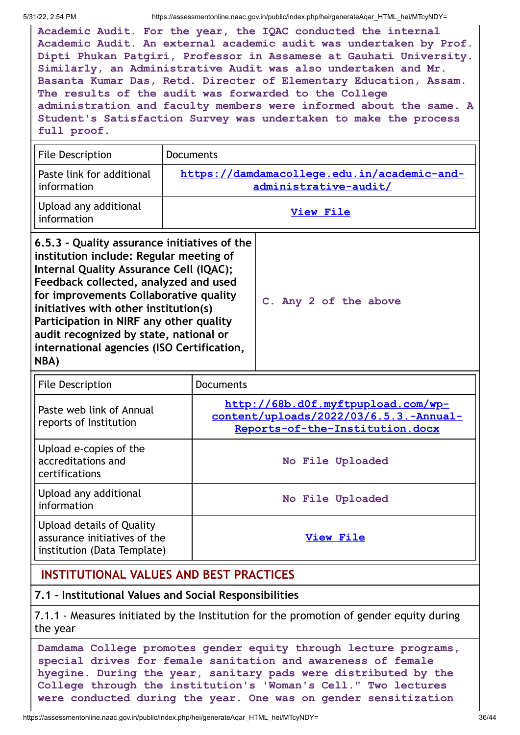**NBA)**

5/31/22, 2:54 PM https://assessmentonline.naac.gov.in/public/index.php/hei/generateAqar\_HTML\_hei/MTcyNDY=

**Academic Audit. For the year, the IQAC conducted the internal Academic Audit. An external academic audit was undertaken by Prof. Dipti Phukan Patgiri, Professor in Assamese at Gauhati University. Similarly, an Administrative Audit was also undertaken and Mr. Basanta Kumar Das, Retd. Directer of Elementary Education, Assam. The results of the audit was forwarded to the College administration and faculty members were informed about the same. A Student's Satisfaction Survey was undertaken to make the process full proof.**

| <b>File Description</b>                                                                                                                                                                                                                                                                                                                             | <b>Documents</b>                                                     |                       |
|-----------------------------------------------------------------------------------------------------------------------------------------------------------------------------------------------------------------------------------------------------------------------------------------------------------------------------------------------------|----------------------------------------------------------------------|-----------------------|
| Paste link for additional<br>information                                                                                                                                                                                                                                                                                                            | https://damdamacollege.edu.in/academic-and-<br>administrative-audit/ |                       |
| Upload any additional<br>information                                                                                                                                                                                                                                                                                                                | View File                                                            |                       |
| 6.5.3 - Quality assurance initiatives of the<br>institution include: Regular meeting of<br>Internal Quality Assurance Cell (IQAC);<br>Feedback collected, analyzed and used<br>for improvements Collaborative quality<br>initiatives with other institution(s)<br>Participation in NIRF any other quality<br>audit recognized by state, national or |                                                                      | C. Any 2 of the above |

| <b>File Description</b>                                                                  | <b>Documents</b>                                                                                                |                  |
|------------------------------------------------------------------------------------------|-----------------------------------------------------------------------------------------------------------------|------------------|
| Paste web link of Annual<br>reports of Institution                                       | http://68b.d0f.myftpupload.com/wp-<br>content/uploads/2022/03/6.5.3.-Annual-<br>Reports-of-the-Institution.docx |                  |
| Upload e-copies of the<br>accreditations and<br>certifications                           |                                                                                                                 | No File Uploaded |
| Upload any additional<br>information                                                     |                                                                                                                 | No File Uploaded |
| Upload details of Quality<br>assurance initiatives of the<br>institution (Data Template) |                                                                                                                 | View File        |

# **INSTITUTIONAL VALUES AND BEST PRACTICES**

**international agencies (ISO Certification,**

# **7.1 - Institutional Values and Social Responsibilities**

7.1.1 - Measures initiated by the Institution for the promotion of gender equity during the year

**Damdama College promotes gender equity through lecture programs, special drives for female sanitation and awareness of female hyegine. During the year, sanitary pads were distributed by the College through the institution's 'Woman's Cell." Two lectures were conducted during the year. One was on gender sensitization**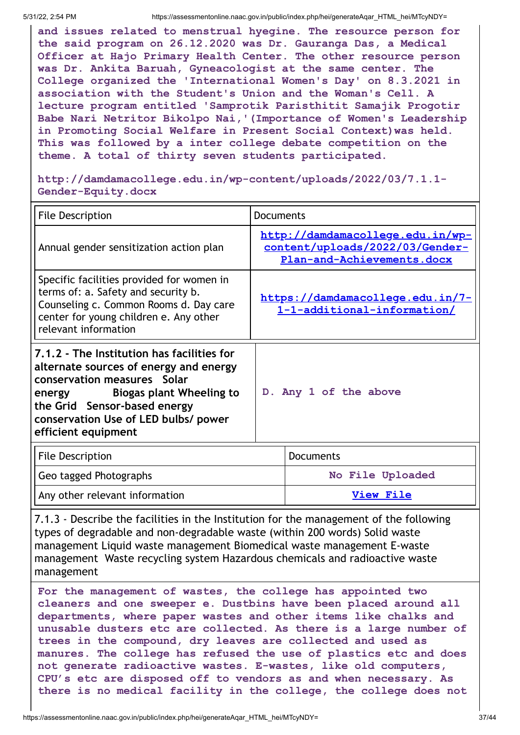**and issues related to menstrual hyegine. The resource person for the said program on 26.12.2020 was Dr. Gauranga Das, a Medical Officer at Hajo Primary Health Center. The other resource person was Dr. Ankita Baruah, Gyneacologist at the same center. The College organized the 'International Women's Day' on 8.3.2021 in association with the Student's Union and the Woman's Cell. A lecture program entitled 'Samprotik Paristhitit Samajik Progotir Babe Nari Netritor Bikolpo Nai,'(Importance of Women's Leadership in Promoting Social Welfare in Present Social Context)was held. This was followed by a inter college debate competition on the theme. A total of thirty seven students participated.**

**http://damdamacollege.edu.in/wp-content/uploads/2022/03/7.1.1- Gender-Equity.docx**

| <b>File Description</b>                                                                                                                                                                                                                                  |  | <b>Documents</b>                                                                                  |  |
|----------------------------------------------------------------------------------------------------------------------------------------------------------------------------------------------------------------------------------------------------------|--|---------------------------------------------------------------------------------------------------|--|
| Annual gender sensitization action plan                                                                                                                                                                                                                  |  | http://damdamacollege.edu.in/wp-<br>content/uploads/2022/03/Gender-<br>Plan-and-Achievements.docx |  |
| Specific facilities provided for women in<br>terms of: a. Safety and security b.<br>Counseling c. Common Rooms d. Day care<br>center for young children e. Any other<br>relevant information                                                             |  | https://damdamacollege.edu.in/7-<br>1-1-additional-information/                                   |  |
| 7.1.2 - The Institution has facilities for<br>alternate sources of energy and energy<br>conservation measures Solar<br>Biogas plant Wheeling to<br>energy<br>the Grid Sensor-based energy<br>conservation Use of LED bulbs/ power<br>efficient equipment |  | D. Any 1 of the above                                                                             |  |
| <b>File Description</b>                                                                                                                                                                                                                                  |  | <b>Documents</b>                                                                                  |  |
| Geo tagged Photographs                                                                                                                                                                                                                                   |  | No File Uploaded                                                                                  |  |

Any other relevant information **[View](https://assessmentonline.naac.gov.in/storage/app/public/aqar/17246/17246_83_197.docx?1653989053) File** 

7.1.3 - Describe the facilities in the Institution for the management of the following types of degradable and non-degradable waste (within 200 words) Solid waste management Liquid waste management Biomedical waste management E-waste management Waste recycling system Hazardous chemicals and radioactive waste management

**For the management of wastes, the college has appointed two cleaners and one sweeper e. Dustbins have been placed around all departments, where paper wastes and other items like chalks and unusable dusters etc are collected. As there is a large number of trees in the compound, dry leaves are collected and used as manures. The college has refused the use of plastics etc and does not generate radioactive wastes. E-wastes, like old computers, CPU's etc are disposed off to vendors as and when necessary. As there is no medical facility in the college, the college does not**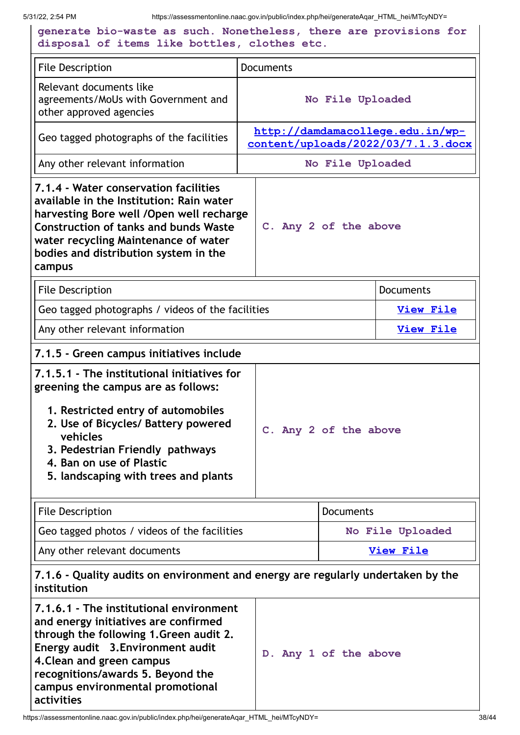5/31/22, 2:54 PM https://assessmentonline.naac.gov.in/public/index.php/hei/generateAqar\_HTML\_hei/MTcyNDY= **generate bio-waste as such. Nonetheless, there are provisions for disposal of items like bottles, clothes etc.** File Description **Documents** Relevant documents like agreements/MoUs with Government and other approved agencies **No File Uploaded** Geo tagged photographs of the facilities **http://damdamacollege.edu.in/wp[content/uploads/2022/03/7.1.3.docx](http://damdamacollege.edu.in/wp-content/uploads/2022/03/7.1.3.docx)** Any other relevant information **No File Uploaded 7.1.4 - Water conservation facilities available in the Institution: Rain water harvesting Bore well /Open well recharge Construction of tanks and bunds Waste water recycling Maintenance of water bodies and distribution system in the campus C. Any 2 of the above** File Description **Documents** Geo tagged photographs / videos of the facilities **[View](https://assessmentonline.naac.gov.in/storage/?1653989054) File** Any other relevant information **[View](https://assessmentonline.naac.gov.in/storage/app/public/aqar/17246/17246_85_200.docx?1653989054) Example 2018 7.1.5 - Green campus initiatives include 7.1.5.1 - The institutional initiatives for greening the campus are as follows: 1. Restricted entry of automobiles 2. Use of Bicycles/ Battery powered vehicles 3. Pedestrian Friendly pathways 4. Ban on use of Plastic 5. landscaping with trees and plants C. Any 2 of the above** File Description **Documents** Geo tagged photos / videos of the facilities **No File Uploaded** Any other relevant documents **[View](https://assessmentonline.naac.gov.in/storage/app/public/aqar/17246/17246_86_202.docx?1653989054) File 7.1.6 - Quality audits on environment and energy are regularly undertaken by the institution 7.1.6.1 - The institutional environment and energy initiatives are confirmed through the following 1.Green audit 2. Energy audit 3.Environment audit 4.Clean and green campus D. Any 1 of the above**

**recognitions/awards 5. Beyond the campus environmental promotional**

**activities**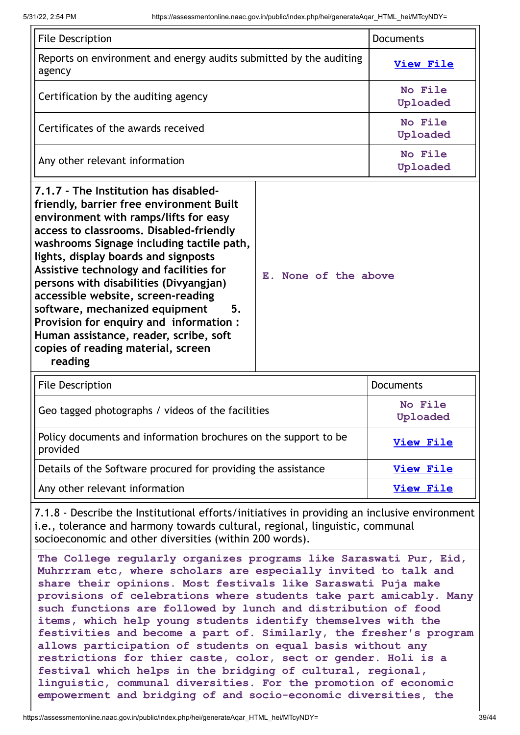| <b>File Description</b>                                                                                                                                                                                                                                                                                                                                                                                                                                                                                                                                            |                      | <b>Documents</b>    |
|--------------------------------------------------------------------------------------------------------------------------------------------------------------------------------------------------------------------------------------------------------------------------------------------------------------------------------------------------------------------------------------------------------------------------------------------------------------------------------------------------------------------------------------------------------------------|----------------------|---------------------|
| Reports on environment and energy audits submitted by the auditing<br>agency                                                                                                                                                                                                                                                                                                                                                                                                                                                                                       |                      | <b>View File</b>    |
| Certification by the auditing agency                                                                                                                                                                                                                                                                                                                                                                                                                                                                                                                               |                      | No File<br>Uploaded |
| Certificates of the awards received                                                                                                                                                                                                                                                                                                                                                                                                                                                                                                                                |                      | No File<br>Uploaded |
| Any other relevant information                                                                                                                                                                                                                                                                                                                                                                                                                                                                                                                                     |                      | No File<br>Uploaded |
| 7.1.7 - The Institution has disabled-<br>friendly, barrier free environment Built<br>environment with ramps/lifts for easy<br>access to classrooms. Disabled-friendly<br>washrooms Signage including tactile path,<br>lights, display boards and signposts<br>Assistive technology and facilities for<br>persons with disabilities (Divyangjan)<br>accessible website, screen-reading<br>software, mechanized equipment<br>5.<br>Provision for enquiry and information:<br>Human assistance, reader, scribe, soft<br>copies of reading material, screen<br>reading | E. None of the above |                     |
| <b>File Description</b>                                                                                                                                                                                                                                                                                                                                                                                                                                                                                                                                            |                      | <b>Documents</b>    |
| Geo tagged photographs / videos of the facilities                                                                                                                                                                                                                                                                                                                                                                                                                                                                                                                  |                      | No File<br>Uploaded |
| Policy documents and information brochures on the support to be<br>provided                                                                                                                                                                                                                                                                                                                                                                                                                                                                                        |                      | <b>View File</b>    |
| Details of the Software procured for providing the assistance                                                                                                                                                                                                                                                                                                                                                                                                                                                                                                      |                      | <b>View File</b>    |
| Any other relevant information                                                                                                                                                                                                                                                                                                                                                                                                                                                                                                                                     |                      | <b>View File</b>    |
| 7.1.8 - Describe the Institutional efforts/initiatives in providing an inclusive environment                                                                                                                                                                                                                                                                                                                                                                                                                                                                       |                      |                     |

i.e., tolerance and harmony towards cultural, regional, linguistic, communal socioeconomic and other diversities (within 200 words).

**The College regularly organizes programs like Saraswati Pur, Eid, Muhrrram etc, where scholars are especially invited to talk and share their opinions. Most festivals like Saraswati Puja make provisions of celebrations where students take part amicably. Many such functions are followed by lunch and distribution of food items, which help young students identify themselves with the festivities and become a part of. Similarly, the fresher's program allows participation of students on equal basis without any restrictions for thier caste, color, sect or gender. Holi is a festival which helps in the bridging of cultural, regional, linguistic, communal diversities. For the promotion of economic empowerment and bridging of and socio-economic diversities, the**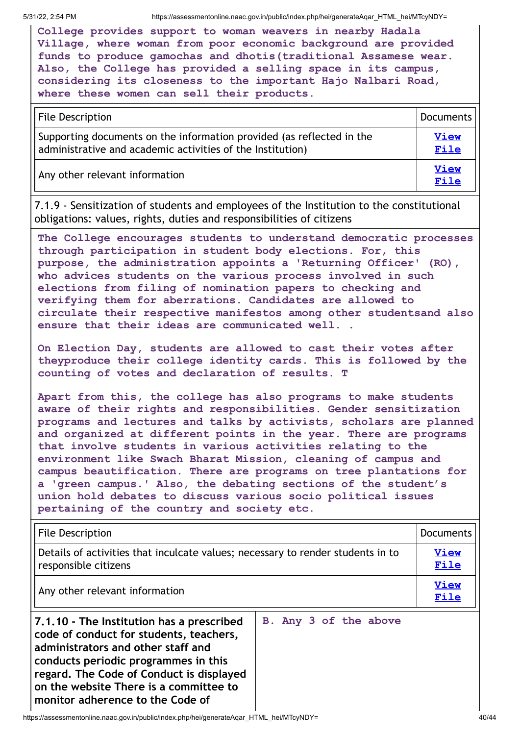**College provides support to woman weavers in nearby Hadala Village, where woman from poor economic background are provided funds to produce gamochas and dhotis(traditional Assamese wear. Also, the College has provided a selling space in its campus, considering its closeness to the important Hajo Nalbari Road, where these women can sell their products.**

| File Description                                                                                                                    | Documents           |
|-------------------------------------------------------------------------------------------------------------------------------------|---------------------|
| Supporting documents on the information provided (as reflected in the<br>administrative and academic activities of the Institution) |                     |
| Any other relevant information                                                                                                      | <b>View</b><br>File |

7.1.9 - Sensitization of students and employees of the Institution to the constitutional obligations: values, rights, duties and responsibilities of citizens

**The College encourages students to understand democratic processes through participation in student body elections. For, this purpose, the administration appoints a 'Returning Officer' (RO), who advices students on the various process involved in such elections from filing of nomination papers to checking and verifying them for aberrations. Candidates are allowed to circulate their respective manifestos among other studentsand also ensure that their ideas are communicated well. .**

**On Election Day, students are allowed to cast their votes after theyproduce their college identity cards. This is followed by the counting of votes and declaration of results. T**

**Apart from this, the college has also programs to make students aware of their rights and responsibilities. Gender sensitization programs and lectures and talks by activists, scholars are planned and organized at different points in the year. There are programs that involve students in various activities relating to the environment like Swach Bharat Mission, cleaning of campus and campus beautification. There are programs on tree plantations for a 'green campus.' Also, the debating sections of the student's union hold debates to discuss various socio political issues pertaining of the country and society etc.**

| <b>File Description</b><br>Documents                                                                    |                     |  |
|---------------------------------------------------------------------------------------------------------|---------------------|--|
| Details of activities that inculcate values; necessary to render students in to<br>responsible citizens |                     |  |
| Any other relevant information                                                                          | <b>View</b><br>File |  |

**7.1.10 - The Institution has a prescribed code of conduct for students, teachers, administrators and other staff and conducts periodic programmes in this regard. The Code of Conduct is displayed on the website There is a committee to monitor adherence to the Code of**

**B. Any 3 of the above**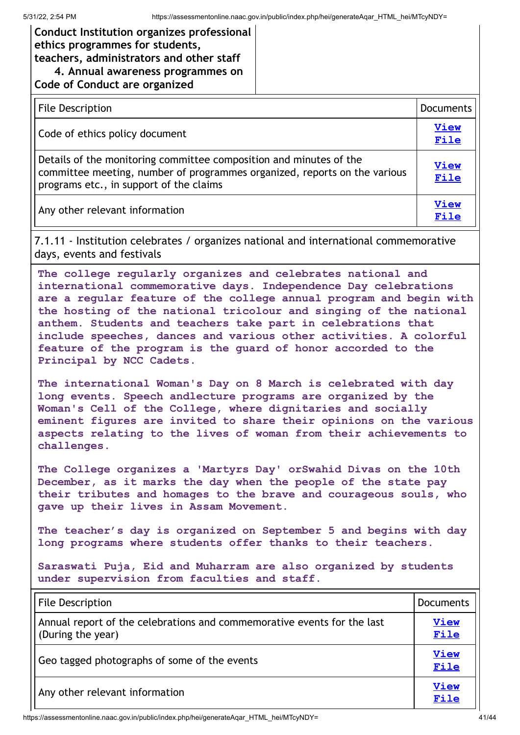## **Conduct Institution organizes professional ethics programmes for students, teachers, administrators and other staff 4. Annual awareness programmes on Code of Conduct are organized**

| <b>File Description</b>                                                                                                                                                                    | <b>Documents</b>    |
|--------------------------------------------------------------------------------------------------------------------------------------------------------------------------------------------|---------------------|
| Code of ethics policy document                                                                                                                                                             | <b>View</b><br>File |
| Details of the monitoring committee composition and minutes of the<br>committee meeting, number of programmes organized, reports on the various<br>programs etc., in support of the claims |                     |
| Any other relevant information                                                                                                                                                             | <b>View</b><br>File |

7.1.11 - Institution celebrates / organizes national and international commemorative days, events and festivals

**The college regularly organizes and celebrates national and international commemorative days. Independence Day celebrations are a regular feature of the college annual program and begin with the hosting of the national tricolour and singing of the national anthem. Students and teachers take part in celebrations that include speeches, dances and various other activities. A colorful feature of the program is the guard of honor accorded to the Principal by NCC Cadets.**

**The international Woman's Day on 8 March is celebrated with day long events. Speech andlecture programs are organized by the Woman's Cell of the College, where dignitaries and socially eminent figures are invited to share their opinions on the various aspects relating to the lives of woman from their achievements to challenges.**

**The College organizes a 'Martyrs Day' orSwahid Divas on the 10th December, as it marks the day when the people of the state pay their tributes and homages to the brave and courageous souls, who gave up their lives in Assam Movement.**

**The teacher's day is organized on September 5 and begins with day long programs where students offer thanks to their teachers.**

**Saraswati Puja, Eid and Muharram are also organized by students under supervision from faculties and staff.**

| <b>File Description</b>                                                                      | <b>Documents</b>    |
|----------------------------------------------------------------------------------------------|---------------------|
| Annual report of the celebrations and commemorative events for the last<br>(During the year) | <b>View</b><br>File |
| Geo tagged photographs of some of the events                                                 |                     |
| Any other relevant information                                                               | <b>View</b><br>File |

https://assessmentonline.naac.gov.in/public/index.php/hei/generateAqar\_HTML\_hei/MTcyNDY= 41/44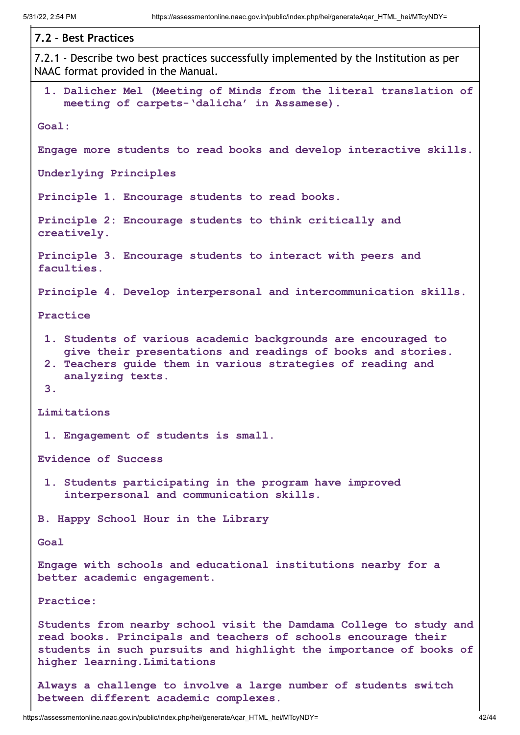| 7.2 - Best Practices                                                                                                                                                                                                                       |
|--------------------------------------------------------------------------------------------------------------------------------------------------------------------------------------------------------------------------------------------|
| 7.2.1 - Describe two best practices successfully implemented by the Institution as per<br>NAAC format provided in the Manual.                                                                                                              |
| 1. Dalicher Mel (Meeting of Minds from the literal translation of<br>meeting of carpets-'dalicha' in Assamese).                                                                                                                            |
| Goal:                                                                                                                                                                                                                                      |
| Engage more students to read books and develop interactive skills.                                                                                                                                                                         |
| Underlying Principles                                                                                                                                                                                                                      |
| Principle 1. Encourage students to read books.                                                                                                                                                                                             |
| Principle 2: Encourage students to think critically and<br>creatively.                                                                                                                                                                     |
| Principle 3. Encourage students to interact with peers and<br>faculties.                                                                                                                                                                   |
| Principle 4. Develop interpersonal and intercommunication skills.                                                                                                                                                                          |
| Practice                                                                                                                                                                                                                                   |
| 1. Students of various academic backgrounds are encouraged to<br>give their presentations and readings of books and stories.<br>2. Teachers guide them in various strategies of reading and<br>analyzing texts.<br>3.                      |
| Limitations                                                                                                                                                                                                                                |
| 1. Engagement of students is small.                                                                                                                                                                                                        |
| <b>Evidence of Success</b>                                                                                                                                                                                                                 |
| 1. Students participating in the program have improved<br>interpersonal and communication skills.                                                                                                                                          |
| B. Happy School Hour in the Library                                                                                                                                                                                                        |
| Goal                                                                                                                                                                                                                                       |
| Engage with schools and educational institutions nearby for a<br>better academic engagement.                                                                                                                                               |
| Practice:                                                                                                                                                                                                                                  |
| Students from nearby school visit the Damdama College to study and<br>read books. Principals and teachers of schools encourage their<br>students in such pursuits and highlight the importance of books of<br>higher learning. Limitations |
| Always a challenge to involve a large number of students switch                                                                                                                                                                            |

**between different academic complexes.**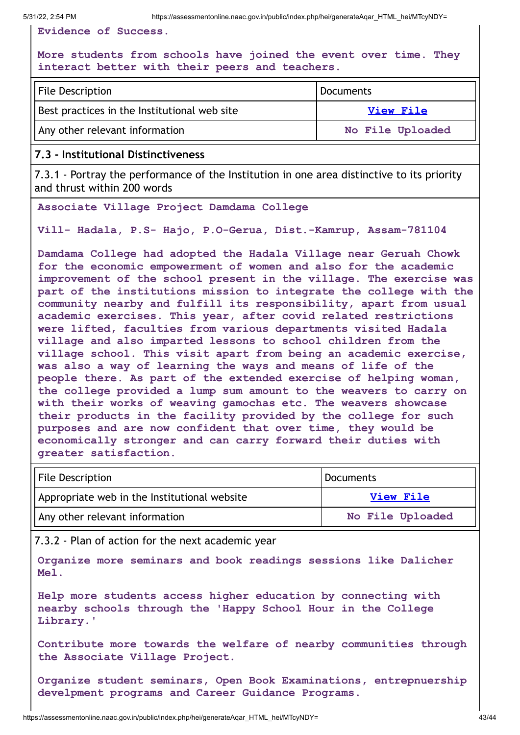**Evidence of Success.**

#### **More students from schools have joined the event over time. They interact better with their peers and teachers.**

| <b>File Description</b>                      | Documents        |  |
|----------------------------------------------|------------------|--|
| Best practices in the Institutional web site | <b>View File</b> |  |
| Any other relevant information               | No File Uploaded |  |

#### **7.3 - Institutional Distinctiveness**

7.3.1 - Portray the performance of the Institution in one area distinctive to its priority and thrust within 200 words

**Associate Village Project Damdama College**

**Vill- Hadala, P.S- Hajo, P.O-Gerua, Dist.-Kamrup, Assam-781104**

**Damdama College had adopted the Hadala Village near Geruah Chowk for the economic empowerment of women and also for the academic improvement of the school present in the village. The exercise was part of the institutions mission to integrate the college with the community nearby and fulfill its responsibility, apart from usual academic exercises. This year, after covid related restrictions were lifted, faculties from various departments visited Hadala village and also imparted lessons to school children from the village school. This visit apart from being an academic exercise, was also a way of learning the ways and means of life of the people there. As part of the extended exercise of helping woman, the college provided a lump sum amount to the weavers to carry on with their works of weaving gamochas etc. The weavers showcase their products in the facility provided by the college for such purposes and are now confident that over time, they would be economically stronger and can carry forward their duties with greater satisfaction.**

| <b>File Description</b>                      | Documents        |  |
|----------------------------------------------|------------------|--|
| Appropriate web in the Institutional website | View File        |  |
| Any other relevant information               | No File Uploaded |  |

7.3.2 - Plan of action for the next academic year

**Organize more seminars and book readings sessions like Dalicher Mel.**

**Help more students access higher education by connecting with nearby schools through the 'Happy School Hour in the College Library.'**

**Contribute more towards the welfare of nearby communities through the Associate Village Project.**

**Organize student seminars, Open Book Examinations, entrepnuership develpment programs and Career Guidance Programs.**